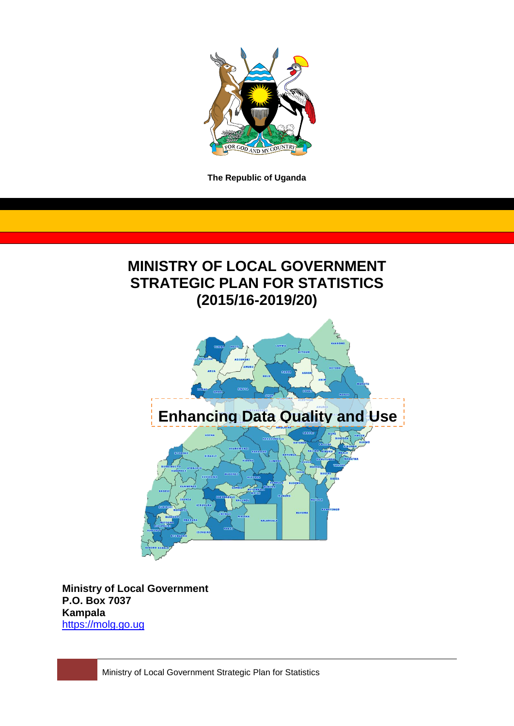

**The Republic of Uganda**

# **MINISTRY OF LOCAL GOVERNMENT STRATEGIC PLAN FOR STATISTICS (2015/16-2019/20)**



**Ministry of Local Government P.O. Box 7037 Kampala** [https://molg.go.ug](https://molg.go.ug/)

Ministry of Local Government Strategic Plan for Statistics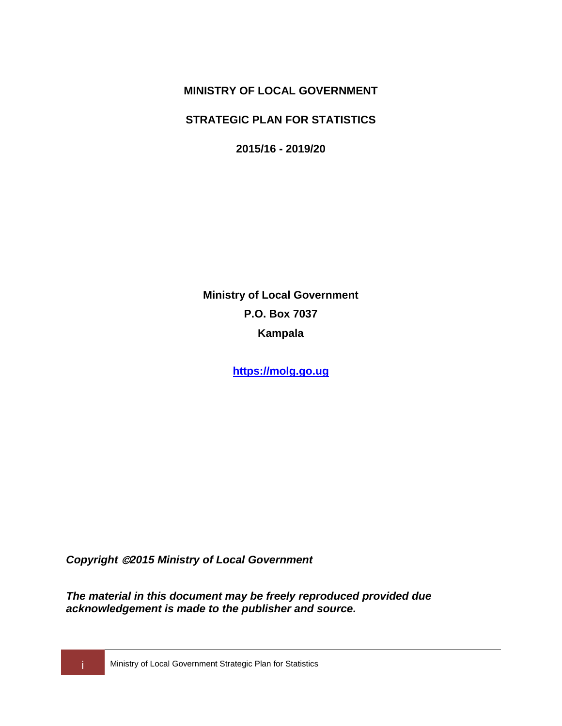**MINISTRY OF LOCAL GOVERNMENT**

**STRATEGIC PLAN FOR STATISTICS**

**2015/16 - 2019/20**

**Ministry of Local Government P.O. Box 7037 Kampala**

**[https://molg.go.ug](https://molg.go.ug/)**

*Copyright 2015 Ministry of Local Government*

*The material in this document may be freely reproduced provided due acknowledgement is made to the publisher and source.*

**i Ministry of Local Government Strategic Plan for Statistics**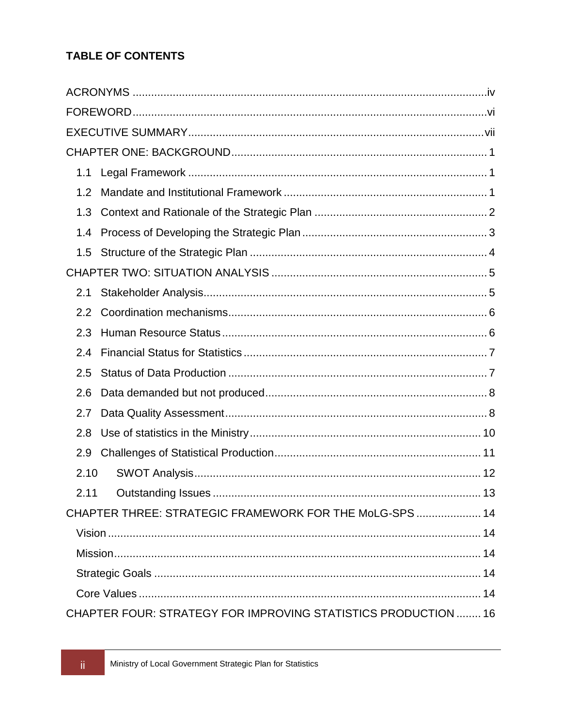## **TABLE OF CONTENTS**

| 1.1  |                                                                |
|------|----------------------------------------------------------------|
| 1.2  |                                                                |
| 1.3  |                                                                |
| 1.4  |                                                                |
| 1.5  |                                                                |
|      |                                                                |
| 2.1  |                                                                |
| 2.2  |                                                                |
| 2.3  |                                                                |
| 2.4  |                                                                |
| 2.5  |                                                                |
| 2.6  |                                                                |
| 2.7  |                                                                |
| 2.8  |                                                                |
| 2.9  |                                                                |
| 2.10 |                                                                |
| 2.11 | 13                                                             |
|      | CHAPTER THREE: STRATEGIC FRAMEWORK FOR THE MoLG-SPS 14         |
|      |                                                                |
|      |                                                                |
|      |                                                                |
|      |                                                                |
|      | CHAPTER FOUR: STRATEGY FOR IMPROVING STATISTICS PRODUCTION  16 |

 $\dddot{\text{H}}$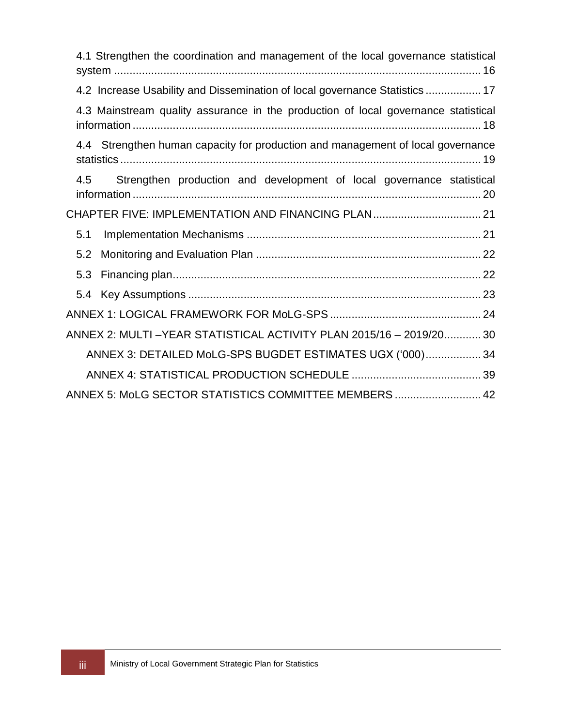| 4.1 Strengthen the coordination and management of the local governance statistical |
|------------------------------------------------------------------------------------|
| 4.2 Increase Usability and Dissemination of local governance Statistics  17        |
| 4.3 Mainstream quality assurance in the production of local governance statistical |
| 4.4 Strengthen human capacity for production and management of local governance    |
| Strengthen production and development of local governance statistical<br>4.5       |
| CHAPTER FIVE: IMPLEMENTATION AND FINANCING PLAN 21                                 |
| 5.1                                                                                |
| 5.2                                                                                |
| 5.3                                                                                |
|                                                                                    |
|                                                                                    |
| ANNEX 2: MULTI-YEAR STATISTICAL ACTIVITY PLAN 2015/16 - 2019/20 30                 |
| ANNEX 3: DETAILED MoLG-SPS BUGDET ESTIMATES UGX ('000) 34                          |
|                                                                                    |
| ANNEX 5: MoLG SECTOR STATISTICS COMMITTEE MEMBERS  42                              |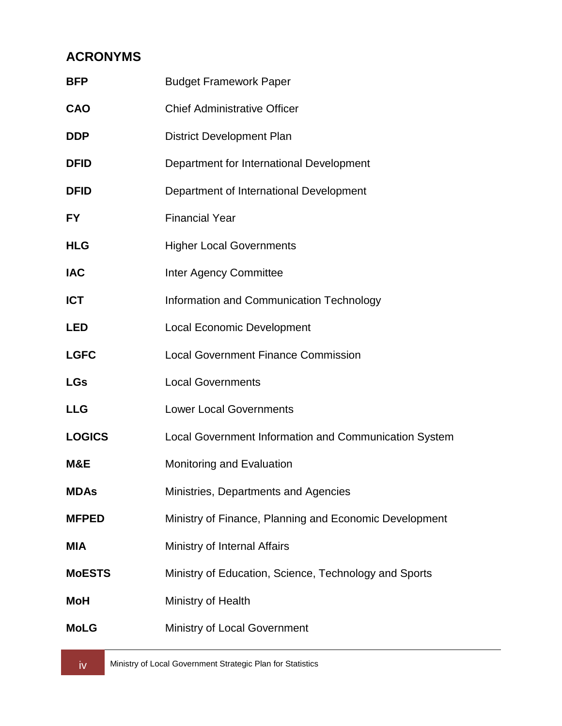## <span id="page-4-0"></span>**ACRONYMS**

| <b>BFP</b>    | <b>Budget Framework Paper</b>                          |
|---------------|--------------------------------------------------------|
| CAO           | <b>Chief Administrative Officer</b>                    |
| DDP           | <b>District Development Plan</b>                       |
| <b>DFID</b>   | Department for International Development               |
| <b>DFID</b>   | Department of International Development                |
| FY            | <b>Financial Year</b>                                  |
| <b>HLG</b>    | <b>Higher Local Governments</b>                        |
| IAC           | <b>Inter Agency Committee</b>                          |
| <b>ICT</b>    | Information and Communication Technology               |
| LED           | <b>Local Economic Development</b>                      |
| <b>LGFC</b>   | <b>Local Government Finance Commission</b>             |
| LGs           | <b>Local Governments</b>                               |
| <b>LLG</b>    | <b>Lower Local Governments</b>                         |
| <b>LOGICS</b> | Local Government Information and Communication System  |
| M&E           | Monitoring and Evaluation                              |
| <b>MDAs</b>   | Ministries, Departments and Agencies                   |
| <b>MFPED</b>  | Ministry of Finance, Planning and Economic Development |
| MIA           | Ministry of Internal Affairs                           |
| <b>MoESTS</b> | Ministry of Education, Science, Technology and Sports  |
| MoH           | Ministry of Health                                     |
| MoLG          | <b>Ministry of Local Government</b>                    |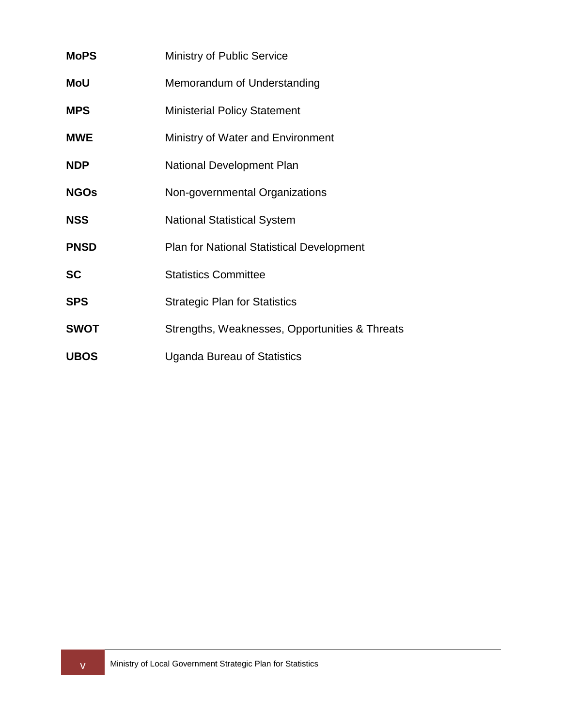| <b>MoPS</b> | <b>Ministry of Public Service</b>                |
|-------------|--------------------------------------------------|
| MoU         | Memorandum of Understanding                      |
| <b>MPS</b>  | <b>Ministerial Policy Statement</b>              |
| <b>MWE</b>  | Ministry of Water and Environment                |
| <b>NDP</b>  | <b>National Development Plan</b>                 |
| <b>NGOs</b> | Non-governmental Organizations                   |
| <b>NSS</b>  | <b>National Statistical System</b>               |
| <b>PNSD</b> | <b>Plan for National Statistical Development</b> |
| <b>SC</b>   | <b>Statistics Committee</b>                      |
| <b>SPS</b>  | <b>Strategic Plan for Statistics</b>             |
| <b>SWOT</b> | Strengths, Weaknesses, Opportunities & Threats   |
| <b>UBOS</b> | <b>Uganda Bureau of Statistics</b>               |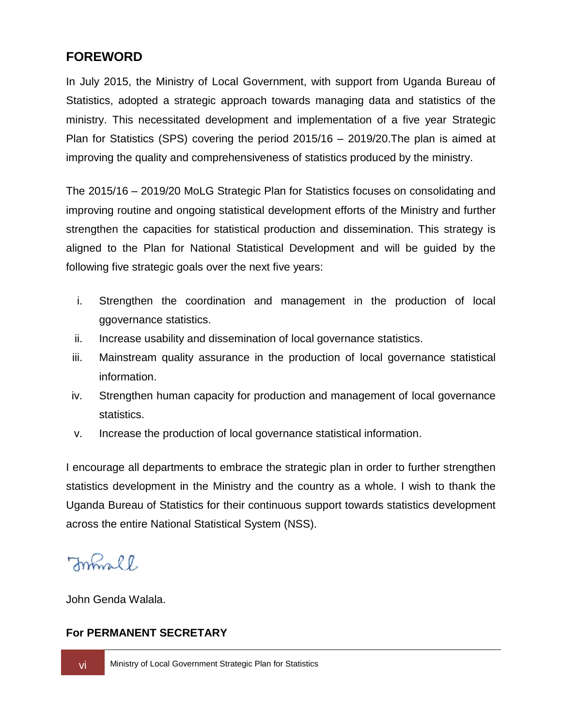## <span id="page-6-0"></span>**FOREWORD**

In July 2015, the Ministry of Local Government, with support from Uganda Bureau of Statistics, adopted a strategic approach towards managing data and statistics of the ministry. This necessitated development and implementation of a five year Strategic Plan for Statistics (SPS) covering the period 2015/16 – 2019/20.The plan is aimed at improving the quality and comprehensiveness of statistics produced by the ministry.

The 2015/16 – 2019/20 MoLG Strategic Plan for Statistics focuses on consolidating and improving routine and ongoing statistical development efforts of the Ministry and further strengthen the capacities for statistical production and dissemination. This strategy is aligned to the Plan for National Statistical Development and will be guided by the following five strategic goals over the next five years:

- i. Strengthen the coordination and management in the production of local ggovernance statistics.
- ii. Increase usability and dissemination of local governance statistics.
- iii. Mainstream quality assurance in the production of local governance statistical information.
- iv. Strengthen human capacity for production and management of local governance statistics.
- v. Increase the production of local governance statistical information.

I encourage all departments to embrace the strategic plan in order to further strengthen statistics development in the Ministry and the country as a whole. I wish to thank the Uganda Bureau of Statistics for their continuous support towards statistics development across the entire National Statistical System (NSS).

Formall

John Genda Walala.

### **For PERMANENT SECRETARY**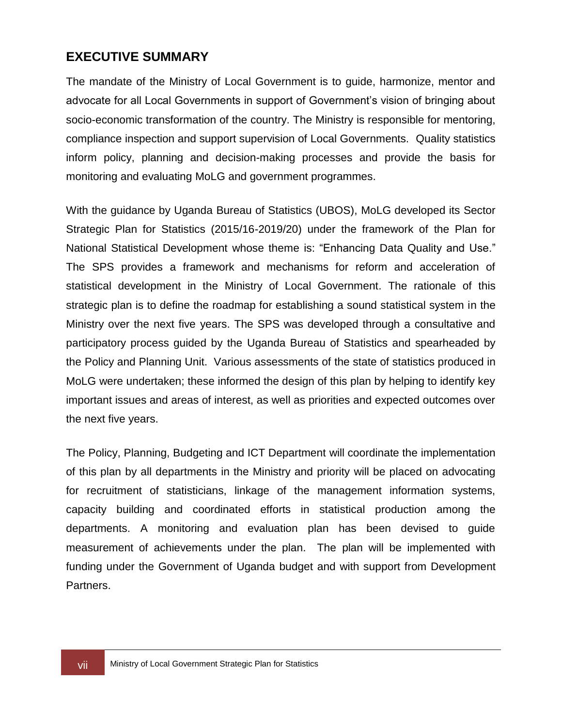## <span id="page-7-0"></span>**EXECUTIVE SUMMARY**

The mandate of the Ministry of Local Government is to guide, harmonize, mentor and advocate for all Local Governments in support of Government's vision of bringing about socio-economic transformation of the country. The Ministry is responsible for mentoring, compliance inspection and support supervision of Local Governments. Quality statistics inform policy, planning and decision-making processes and provide the basis for monitoring and evaluating MoLG and government programmes.

With the guidance by Uganda Bureau of Statistics (UBOS), MoLG developed its Sector Strategic Plan for Statistics (2015/16-2019/20) under the framework of the Plan for National Statistical Development whose theme is: "Enhancing Data Quality and Use." The SPS provides a framework and mechanisms for reform and acceleration of statistical development in the Ministry of Local Government. The rationale of this strategic plan is to define the roadmap for establishing a sound statistical system in the Ministry over the next five years. The SPS was developed through a consultative and participatory process guided by the Uganda Bureau of Statistics and spearheaded by the Policy and Planning Unit. Various assessments of the state of statistics produced in MoLG were undertaken; these informed the design of this plan by helping to identify key important issues and areas of interest, as well as priorities and expected outcomes over the next five years.

The Policy, Planning, Budgeting and ICT Department will coordinate the implementation of this plan by all departments in the Ministry and priority will be placed on advocating for recruitment of statisticians, linkage of the management information systems, capacity building and coordinated efforts in statistical production among the departments. A monitoring and evaluation plan has been devised to guide measurement of achievements under the plan. The plan will be implemented with funding under the Government of Uganda budget and with support from Development Partners.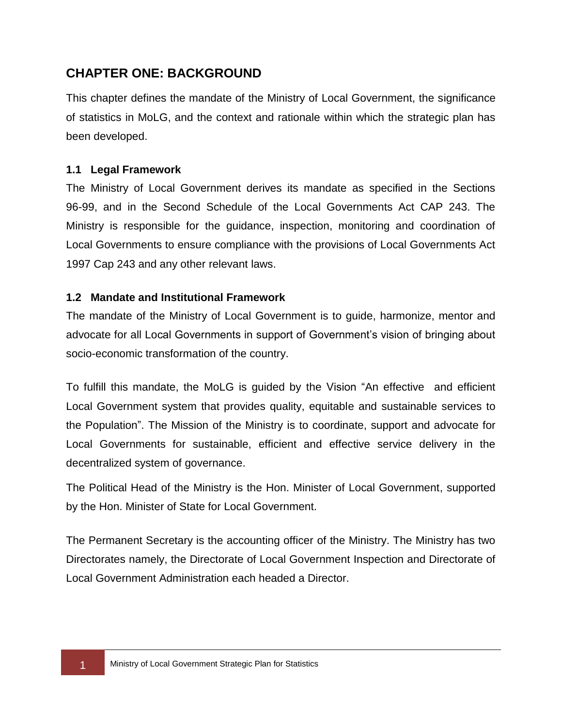## <span id="page-8-0"></span>**CHAPTER ONE: BACKGROUND**

This chapter defines the mandate of the Ministry of Local Government, the significance of statistics in MoLG, and the context and rationale within which the strategic plan has been developed.

### <span id="page-8-1"></span>**1.1 Legal Framework**

The Ministry of Local Government derives its mandate as specified in the Sections 96-99, and in the Second Schedule of the Local Governments Act CAP 243. The Ministry is responsible for the guidance, inspection, monitoring and coordination of Local Governments to ensure compliance with the provisions of Local Governments Act 1997 Cap 243 and any other relevant laws.

### <span id="page-8-2"></span>**1.2 Mandate and Institutional Framework**

The mandate of the Ministry of Local Government is to guide, harmonize, mentor and advocate for all Local Governments in support of Government's vision of bringing about socio-economic transformation of the country.

To fulfill this mandate, the MoLG is guided by the Vision "An effective and efficient Local Government system that provides quality, equitable and sustainable services to the Population". The Mission of the Ministry is to coordinate, support and advocate for Local Governments for sustainable, efficient and effective service delivery in the decentralized system of governance.

The Political Head of the Ministry is the Hon. Minister of Local Government, supported by the Hon. Minister of State for Local Government.

The Permanent Secretary is the accounting officer of the Ministry. The Ministry has two Directorates namely, the Directorate of Local Government Inspection and Directorate of Local Government Administration each headed a Director.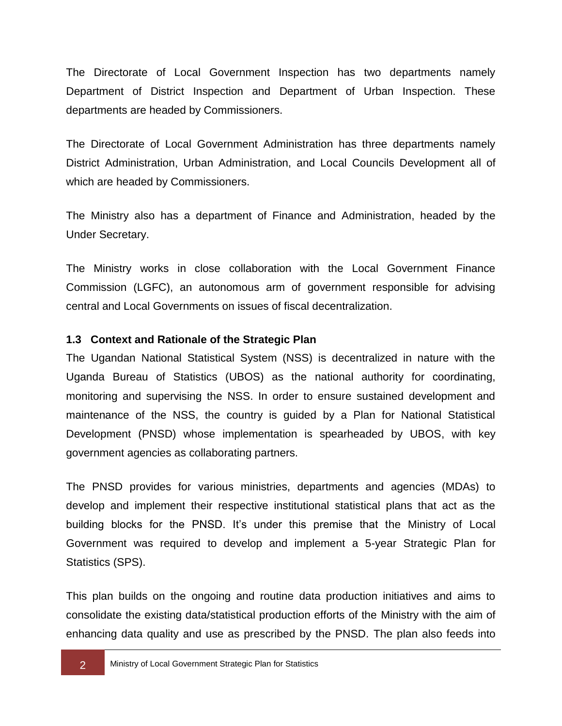The Directorate of Local Government Inspection has two departments namely Department of District Inspection and Department of Urban Inspection. These departments are headed by Commissioners.

The Directorate of Local Government Administration has three departments namely District Administration, Urban Administration, and Local Councils Development all of which are headed by Commissioners.

The Ministry also has a department of Finance and Administration, headed by the Under Secretary.

The Ministry works in close collaboration with the Local Government Finance Commission (LGFC), an autonomous arm of government responsible for advising central and Local Governments on issues of fiscal decentralization.

#### <span id="page-9-0"></span>**1.3 Context and Rationale of the Strategic Plan**

The Ugandan National Statistical System (NSS) is decentralized in nature with the Uganda Bureau of Statistics (UBOS) as the national authority for coordinating, monitoring and supervising the NSS. In order to ensure sustained development and maintenance of the NSS, the country is guided by a Plan for National Statistical Development (PNSD) whose implementation is spearheaded by UBOS, with key government agencies as collaborating partners.

The PNSD provides for various ministries, departments and agencies (MDAs) to develop and implement their respective institutional statistical plans that act as the building blocks for the PNSD. It's under this premise that the Ministry of Local Government was required to develop and implement a 5-year Strategic Plan for Statistics (SPS).

This plan builds on the ongoing and routine data production initiatives and aims to consolidate the existing data/statistical production efforts of the Ministry with the aim of enhancing data quality and use as prescribed by the PNSD. The plan also feeds into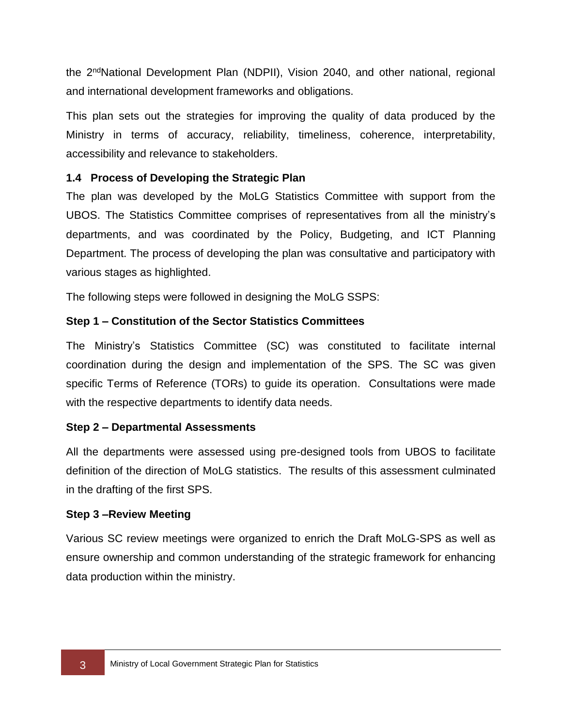the 2ndNational Development Plan (NDPII), Vision 2040, and other national, regional and international development frameworks and obligations.

This plan sets out the strategies for improving the quality of data produced by the Ministry in terms of accuracy, reliability, timeliness, coherence, interpretability, accessibility and relevance to stakeholders.

### <span id="page-10-0"></span>**1.4 Process of Developing the Strategic Plan**

The plan was developed by the MoLG Statistics Committee with support from the UBOS. The Statistics Committee comprises of representatives from all the ministry's departments, and was coordinated by the Policy, Budgeting, and ICT Planning Department. The process of developing the plan was consultative and participatory with various stages as highlighted.

The following steps were followed in designing the MoLG SSPS:

## **Step 1 – Constitution of the Sector Statistics Committees**

The Ministry's Statistics Committee (SC) was constituted to facilitate internal coordination during the design and implementation of the SPS. The SC was given specific Terms of Reference (TORs) to guide its operation. Consultations were made with the respective departments to identify data needs.

### **Step 2 – Departmental Assessments**

All the departments were assessed using pre-designed tools from UBOS to facilitate definition of the direction of MoLG statistics. The results of this assessment culminated in the drafting of the first SPS.

### **Step 3 –Review Meeting**

Various SC review meetings were organized to enrich the Draft MoLG-SPS as well as ensure ownership and common understanding of the strategic framework for enhancing data production within the ministry.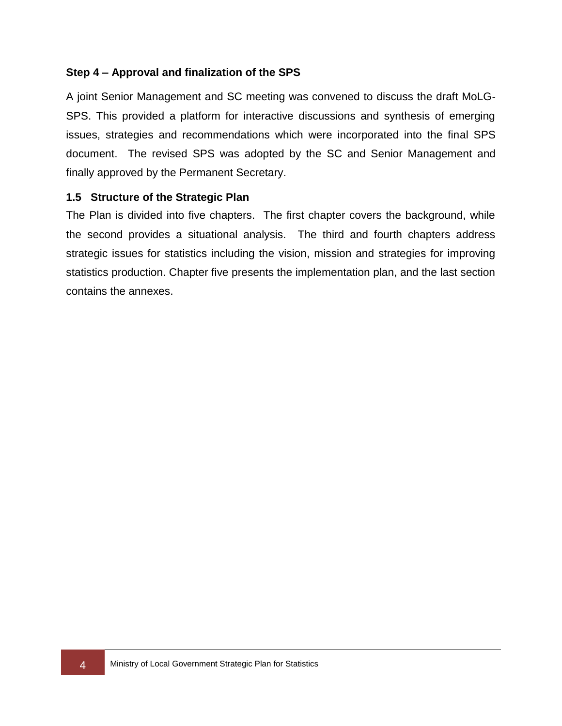### **Step 4 – Approval and finalization of the SPS**

A joint Senior Management and SC meeting was convened to discuss the draft MoLG-SPS. This provided a platform for interactive discussions and synthesis of emerging issues, strategies and recommendations which were incorporated into the final SPS document. The revised SPS was adopted by the SC and Senior Management and finally approved by the Permanent Secretary.

#### <span id="page-11-0"></span>**1.5 Structure of the Strategic Plan**

The Plan is divided into five chapters. The first chapter covers the background, while the second provides a situational analysis. The third and fourth chapters address strategic issues for statistics including the vision, mission and strategies for improving statistics production. Chapter five presents the implementation plan, and the last section contains the annexes.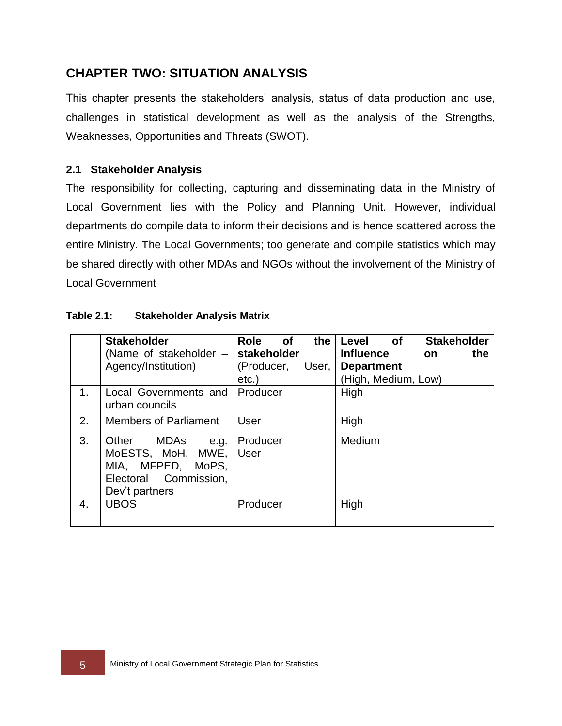## <span id="page-12-0"></span>**CHAPTER TWO: SITUATION ANALYSIS**

This chapter presents the stakeholders' analysis, status of data production and use, challenges in statistical development as well as the analysis of the Strengths, Weaknesses, Opportunities and Threats (SWOT).

### <span id="page-12-1"></span>**2.1 Stakeholder Analysis**

The responsibility for collecting, capturing and disseminating data in the Ministry of Local Government lies with the Policy and Planning Unit. However, individual departments do compile data to inform their decisions and is hence scattered across the entire Ministry. The Local Governments; too generate and compile statistics which may be shared directly with other MDAs and NGOs without the involvement of the Ministry of Local Government

|    | <b>Stakeholder</b><br>(Name of stakeholder -<br>Agency/Institution)                                           | <b>Role</b><br><b>of</b><br>the<br>stakeholder<br>(Producer,<br>User,<br>$etc.$ ) | <b>Stakeholder</b><br>Level<br>of<br><b>Influence</b><br>the<br><b>on</b><br><b>Department</b><br>(High, Medium, Low) |
|----|---------------------------------------------------------------------------------------------------------------|-----------------------------------------------------------------------------------|-----------------------------------------------------------------------------------------------------------------------|
| 1. | Local Governments and<br>urban councils                                                                       | Producer                                                                          | High                                                                                                                  |
| 2. | <b>Members of Parliament</b>                                                                                  | User                                                                              | High                                                                                                                  |
| 3. | Other<br>MDAs<br>e.g.<br>MoESTS, MoH, MWE,<br>MFPED, MoPS,<br>MIA.<br>Electoral Commission,<br>Dev't partners | Producer<br><b>User</b>                                                           | Medium                                                                                                                |
| 4. | <b>UBOS</b>                                                                                                   | Producer                                                                          | High                                                                                                                  |

#### **Table 2.1: Stakeholder Analysis Matrix**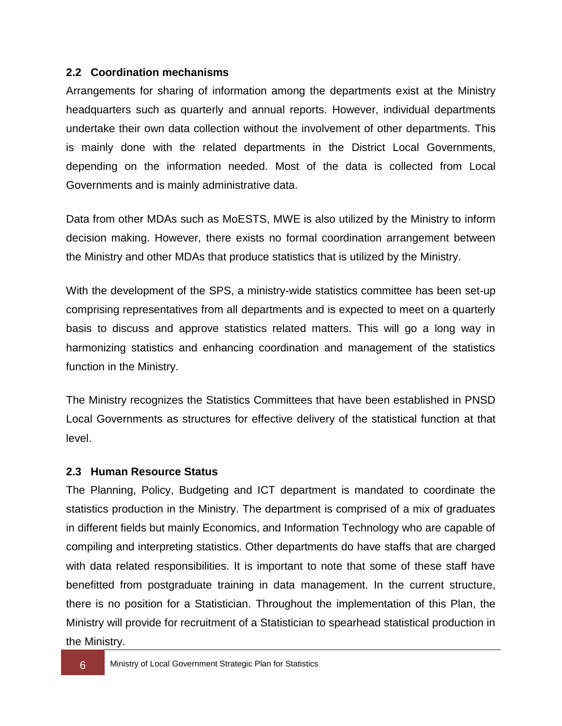### <span id="page-13-0"></span>**2.2 Coordination mechanisms**

Arrangements for sharing of information among the departments exist at the Ministry headquarters such as quarterly and annual reports. However, individual departments undertake their own data collection without the involvement of other departments. This is mainly done with the related departments in the District Local Governments, depending on the information needed. Most of the data is collected from Local Governments and is mainly administrative data.

Data from other MDAs such as MoESTS, MWE is also utilized by the Ministry to inform decision making. However, there exists no formal coordination arrangement between the Ministry and other MDAs that produce statistics that is utilized by the Ministry.

With the development of the SPS, a ministry-wide statistics committee has been set-up comprising representatives from all departments and is expected to meet on a quarterly basis to discuss and approve statistics related matters. This will go a long way in harmonizing statistics and enhancing coordination and management of the statistics function in the Ministry.

The Ministry recognizes the Statistics Committees that have been established in PNSD Local Governments as structures for effective delivery of the statistical function at that level.

### <span id="page-13-1"></span>**2.3 Human Resource Status**

The Planning, Policy, Budgeting and ICT department is mandated to coordinate the statistics production in the Ministry. The department is comprised of a mix of graduates in different fields but mainly Economics, and Information Technology who are capable of compiling and interpreting statistics. Other departments do have staffs that are charged with data related responsibilities. It is important to note that some of these staff have benefitted from postgraduate training in data management. In the current structure, there is no position for a Statistician. Throughout the implementation of this Plan, the Ministry will provide for recruitment of a Statistician to spearhead statistical production in the Ministry.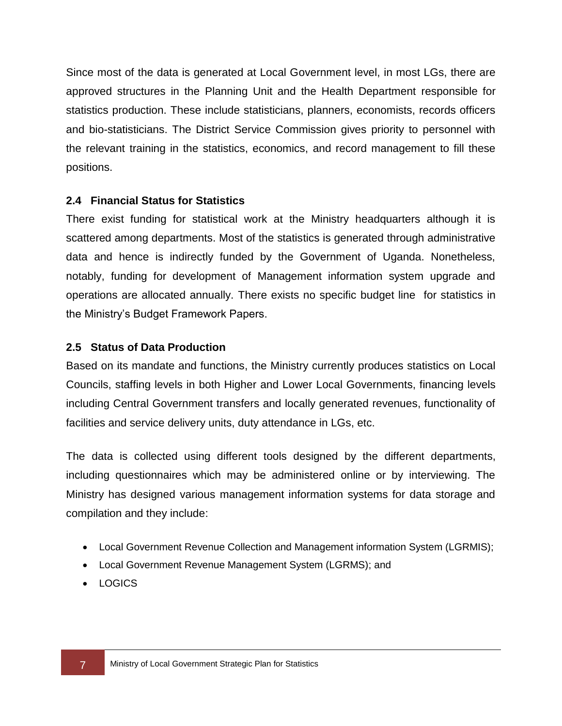Since most of the data is generated at Local Government level, in most LGs, there are approved structures in the Planning Unit and the Health Department responsible for statistics production. These include statisticians, planners, economists, records officers and bio-statisticians. The District Service Commission gives priority to personnel with the relevant training in the statistics, economics, and record management to fill these positions.

### <span id="page-14-0"></span>**2.4 Financial Status for Statistics**

There exist funding for statistical work at the Ministry headquarters although it is scattered among departments. Most of the statistics is generated through administrative data and hence is indirectly funded by the Government of Uganda. Nonetheless, notably, funding for development of Management information system upgrade and operations are allocated annually. There exists no specific budget line for statistics in the Ministry's Budget Framework Papers.

### <span id="page-14-1"></span>**2.5 Status of Data Production**

Based on its mandate and functions, the Ministry currently produces statistics on Local Councils, staffing levels in both Higher and Lower Local Governments, financing levels including Central Government transfers and locally generated revenues, functionality of facilities and service delivery units, duty attendance in LGs, etc.

The data is collected using different tools designed by the different departments, including questionnaires which may be administered online or by interviewing. The Ministry has designed various management information systems for data storage and compilation and they include:

- Local Government Revenue Collection and Management information System (LGRMIS);
- Local Government Revenue Management System (LGRMS); and
- LOGICS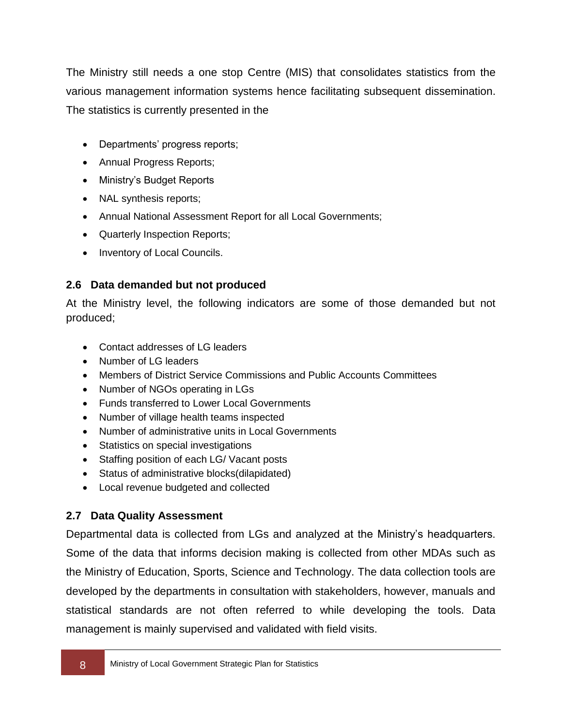The Ministry still needs a one stop Centre (MIS) that consolidates statistics from the various management information systems hence facilitating subsequent dissemination. The statistics is currently presented in the

- Departments' progress reports;
- Annual Progress Reports;
- Ministry's Budget Reports
- NAL synthesis reports;
- Annual National Assessment Report for all Local Governments;
- Quarterly Inspection Reports;
- Inventory of Local Councils.

### <span id="page-15-0"></span>**2.6 Data demanded but not produced**

At the Ministry level, the following indicators are some of those demanded but not produced;

- Contact addresses of LG leaders
- Number of LG leaders
- Members of District Service Commissions and Public Accounts Committees
- Number of NGOs operating in LGs
- Funds transferred to Lower Local Governments
- Number of village health teams inspected
- Number of administrative units in Local Governments
- Statistics on special investigations
- Staffing position of each LG/ Vacant posts
- Status of administrative blocks(dilapidated)
- Local revenue budgeted and collected

## <span id="page-15-1"></span>**2.7 Data Quality Assessment**

Departmental data is collected from LGs and analyzed at the Ministry's headquarters. Some of the data that informs decision making is collected from other MDAs such as the Ministry of Education, Sports, Science and Technology. The data collection tools are developed by the departments in consultation with stakeholders, however, manuals and statistical standards are not often referred to while developing the tools. Data management is mainly supervised and validated with field visits.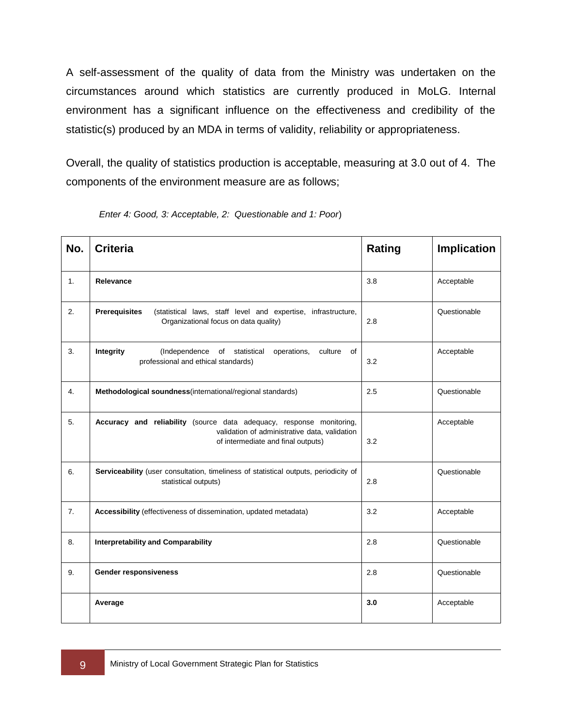A self-assessment of the quality of data from the Ministry was undertaken on the circumstances around which statistics are currently produced in MoLG. Internal environment has a significant influence on the effectiveness and credibility of the statistic(s) produced by an MDA in terms of validity, reliability or appropriateness.

Overall, the quality of statistics production is acceptable, measuring at 3.0 out of 4. The components of the environment measure are as follows;

| No. | <b>Criteria</b>                                                                                                                                             | Rating | <b>Implication</b> |
|-----|-------------------------------------------------------------------------------------------------------------------------------------------------------------|--------|--------------------|
| 1.  | Relevance                                                                                                                                                   | 3.8    | Acceptable         |
| 2.  | <b>Prerequisites</b><br>(statistical laws, staff level and expertise, infrastructure,<br>Organizational focus on data quality)                              | 2.8    | Questionable       |
| 3.  | Integrity<br>culture<br>(Independence<br>of statistical<br>operations,<br>of<br>professional and ethical standards)                                         | 3.2    | Acceptable         |
| 4.  | Methodological soundness(international/regional standards)                                                                                                  | 2.5    | Questionable       |
| 5.  | Accuracy and reliability (source data adequacy, response monitoring,<br>validation of administrative data, validation<br>of intermediate and final outputs) | 3.2    | Acceptable         |
| 6.  | Serviceability (user consultation, timeliness of statistical outputs, periodicity of<br>statistical outputs)                                                | 2.8    | Questionable       |
| 7.  | Accessibility (effectiveness of dissemination, updated metadata)                                                                                            | 3.2    | Acceptable         |
| 8.  | <b>Interpretability and Comparability</b>                                                                                                                   | 2.8    | Questionable       |
| 9.  | <b>Gender responsiveness</b>                                                                                                                                | 2.8    | Questionable       |
|     | Average                                                                                                                                                     | 3.0    | Acceptable         |

*Enter 4: Good, 3: Acceptable, 2: Questionable and 1: Poor*)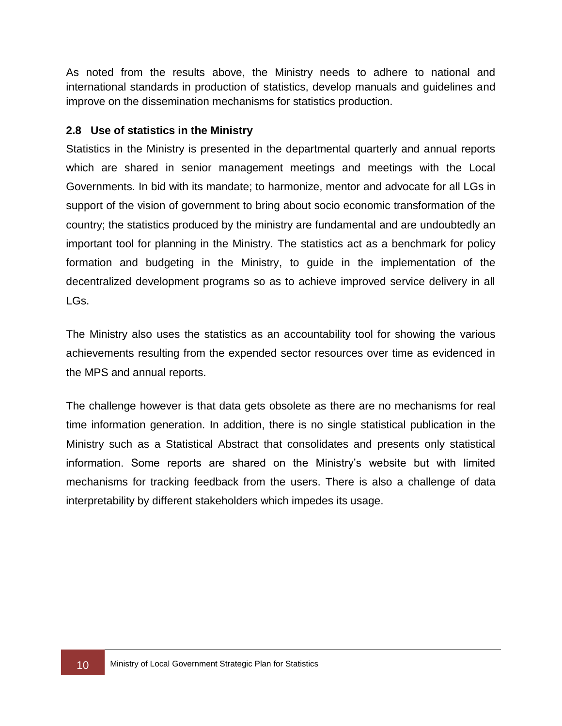As noted from the results above, the Ministry needs to adhere to national and international standards in production of statistics, develop manuals and guidelines and improve on the dissemination mechanisms for statistics production.

### <span id="page-17-0"></span>**2.8 Use of statistics in the Ministry**

Statistics in the Ministry is presented in the departmental quarterly and annual reports which are shared in senior management meetings and meetings with the Local Governments. In bid with its mandate; to harmonize, mentor and advocate for all LGs in support of the vision of government to bring about socio economic transformation of the country; the statistics produced by the ministry are fundamental and are undoubtedly an important tool for planning in the Ministry. The statistics act as a benchmark for policy formation and budgeting in the Ministry, to guide in the implementation of the decentralized development programs so as to achieve improved service delivery in all LGs.

The Ministry also uses the statistics as an accountability tool for showing the various achievements resulting from the expended sector resources over time as evidenced in the MPS and annual reports.

The challenge however is that data gets obsolete as there are no mechanisms for real time information generation. In addition, there is no single statistical publication in the Ministry such as a Statistical Abstract that consolidates and presents only statistical information. Some reports are shared on the Ministry's website but with limited mechanisms for tracking feedback from the users. There is also a challenge of data interpretability by different stakeholders which impedes its usage.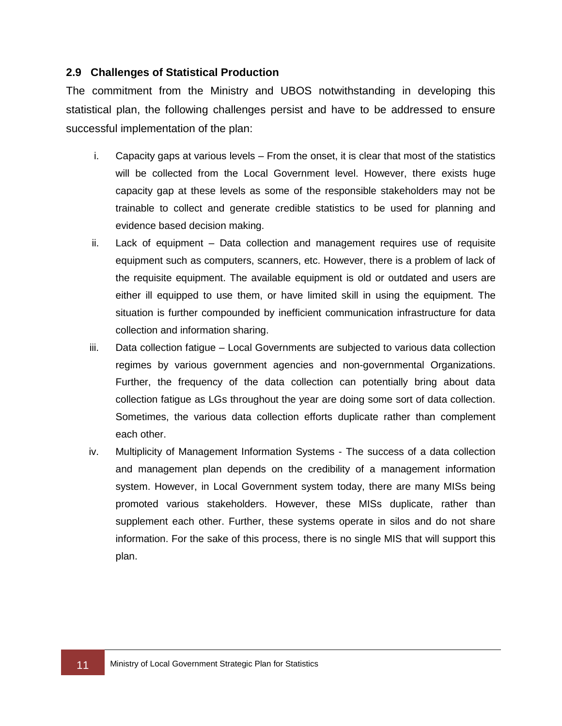#### <span id="page-18-0"></span>**2.9 Challenges of Statistical Production**

The commitment from the Ministry and UBOS notwithstanding in developing this statistical plan, the following challenges persist and have to be addressed to ensure successful implementation of the plan:

- i. Capacity gaps at various levels From the onset, it is clear that most of the statistics will be collected from the Local Government level. However, there exists huge capacity gap at these levels as some of the responsible stakeholders may not be trainable to collect and generate credible statistics to be used for planning and evidence based decision making.
- ii. Lack of equipment Data collection and management requires use of requisite equipment such as computers, scanners, etc. However, there is a problem of lack of the requisite equipment. The available equipment is old or outdated and users are either ill equipped to use them, or have limited skill in using the equipment. The situation is further compounded by inefficient communication infrastructure for data collection and information sharing.
- iii. Data collection fatigue Local Governments are subjected to various data collection regimes by various government agencies and non-governmental Organizations. Further, the frequency of the data collection can potentially bring about data collection fatigue as LGs throughout the year are doing some sort of data collection. Sometimes, the various data collection efforts duplicate rather than complement each other.
- iv. Multiplicity of Management Information Systems The success of a data collection and management plan depends on the credibility of a management information system. However, in Local Government system today, there are many MISs being promoted various stakeholders. However, these MISs duplicate, rather than supplement each other. Further, these systems operate in silos and do not share information. For the sake of this process, there is no single MIS that will support this plan.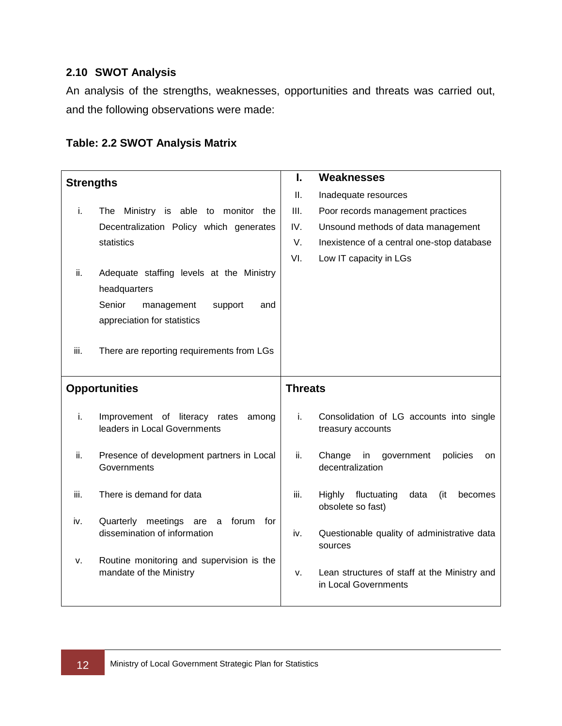### <span id="page-19-0"></span>**2.10 SWOT Analysis**

An analysis of the strengths, weaknesses, opportunities and threats was carried out, and the following observations were made:

| <b>Strengths</b>     |                                                                                                    | I.             | <b>Weaknesses</b>                                                    |
|----------------------|----------------------------------------------------------------------------------------------------|----------------|----------------------------------------------------------------------|
|                      |                                                                                                    | Ш.             | Inadequate resources                                                 |
| i.                   | The Ministry is able to monitor the                                                                | Ш.             | Poor records management practices                                    |
|                      | Decentralization Policy which generates                                                            | IV.            | Unsound methods of data management                                   |
|                      | statistics                                                                                         | V.             | Inexistence of a central one-stop database                           |
|                      |                                                                                                    | VI.            | Low IT capacity in LGs                                               |
| ii.                  | Adequate staffing levels at the Ministry<br>headquarters<br>Senior<br>management<br>support<br>and |                |                                                                      |
|                      | appreciation for statistics                                                                        |                |                                                                      |
| iii.                 | There are reporting requirements from LGs                                                          |                |                                                                      |
| <b>Opportunities</b> |                                                                                                    | <b>Threats</b> |                                                                      |
| i.                   | Improvement of literacy rates<br>among<br>leaders in Local Governments                             | i.             | Consolidation of LG accounts into single<br>treasury accounts        |
| ii.                  | Presence of development partners in Local<br>Governments                                           | ii.            | Change<br>in<br>government<br>policies<br>on<br>decentralization     |
| iii.                 | There is demand for data                                                                           | iii.           | fluctuating<br>data<br>Highly<br>(it<br>becomes<br>obsolete so fast) |
| iv.                  | meetings<br>Quarterly<br>are<br>forum<br>a<br>for<br>dissemination of information                  | iv.            | Questionable quality of administrative data<br>sources               |
| v.                   | Routine monitoring and supervision is the<br>mandate of the Ministry                               | ۷.             | Lean structures of staff at the Ministry and<br>in Local Governments |

### **Table: 2.2 SWOT Analysis Matrix**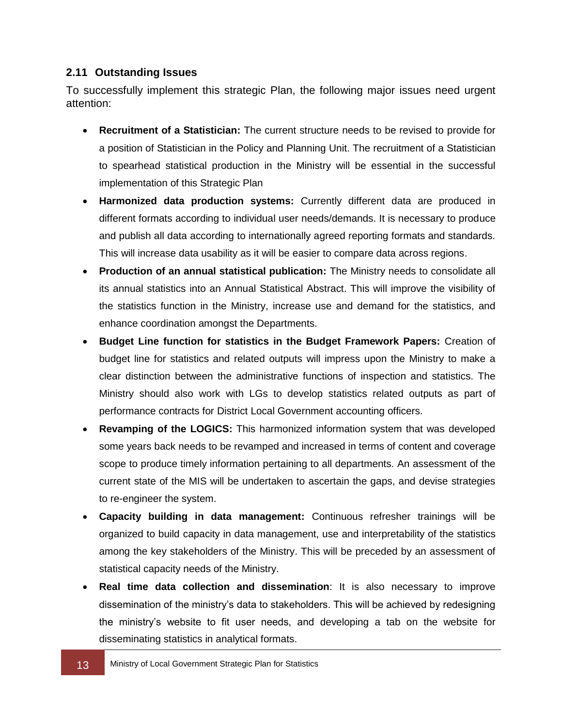#### <span id="page-20-0"></span>**2.11 Outstanding Issues**

To successfully implement this strategic Plan, the following major issues need urgent attention:

- **Recruitment of a Statistician:** The current structure needs to be revised to provide for a position of Statistician in the Policy and Planning Unit. The recruitment of a Statistician to spearhead statistical production in the Ministry will be essential in the successful implementation of this Strategic Plan
- **Harmonized data production systems:** Currently different data are produced in different formats according to individual user needs/demands. It is necessary to produce and publish all data according to internationally agreed reporting formats and standards. This will increase data usability as it will be easier to compare data across regions.
- **Production of an annual statistical publication:** The Ministry needs to consolidate all its annual statistics into an Annual Statistical Abstract. This will improve the visibility of the statistics function in the Ministry, increase use and demand for the statistics, and enhance coordination amongst the Departments.
- **Budget Line function for statistics in the Budget Framework Papers:** Creation of budget line for statistics and related outputs will impress upon the Ministry to make a clear distinction between the administrative functions of inspection and statistics. The Ministry should also work with LGs to develop statistics related outputs as part of performance contracts for District Local Government accounting officers.
- **Revamping of the LOGICS:** This harmonized information system that was developed some years back needs to be revamped and increased in terms of content and coverage scope to produce timely information pertaining to all departments. An assessment of the current state of the MIS will be undertaken to ascertain the gaps, and devise strategies to re-engineer the system.
- **Capacity building in data management:** Continuous refresher trainings will be organized to build capacity in data management, use and interpretability of the statistics among the key stakeholders of the Ministry. This will be preceded by an assessment of statistical capacity needs of the Ministry.
- **Real time data collection and dissemination**: It is also necessary to improve dissemination of the ministry's data to stakeholders. This will be achieved by redesigning the ministry's website to fit user needs, and developing a tab on the website for disseminating statistics in analytical formats.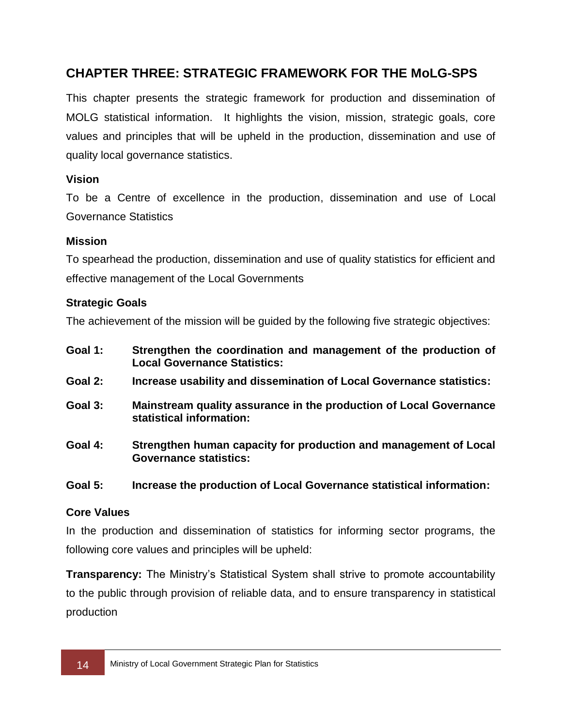## <span id="page-21-0"></span>**CHAPTER THREE: STRATEGIC FRAMEWORK FOR THE MoLG-SPS**

This chapter presents the strategic framework for production and dissemination of MOLG statistical information. It highlights the vision, mission, strategic goals, core values and principles that will be upheld in the production, dissemination and use of quality local governance statistics.

### <span id="page-21-1"></span>**Vision**

To be a Centre of excellence in the production, dissemination and use of Local Governance Statistics

#### <span id="page-21-2"></span>**Mission**

To spearhead the production, dissemination and use of quality statistics for efficient and effective management of the Local Governments

#### <span id="page-21-3"></span>**Strategic Goals**

The achievement of the mission will be guided by the following five strategic objectives:

- **Goal 1: Strengthen the coordination and management of the production of Local Governance Statistics:**
- **Goal 2: Increase usability and dissemination of Local Governance statistics:**
- **Goal 3: Mainstream quality assurance in the production of Local Governance statistical information:**
- **Goal 4: Strengthen human capacity for production and management of Local Governance statistics:**

#### **Goal 5: Increase the production of Local Governance statistical information:**

### <span id="page-21-4"></span>**Core Values**

In the production and dissemination of statistics for informing sector programs, the following core values and principles will be upheld:

**Transparency:** The Ministry's Statistical System shall strive to promote accountability to the public through provision of reliable data, and to ensure transparency in statistical production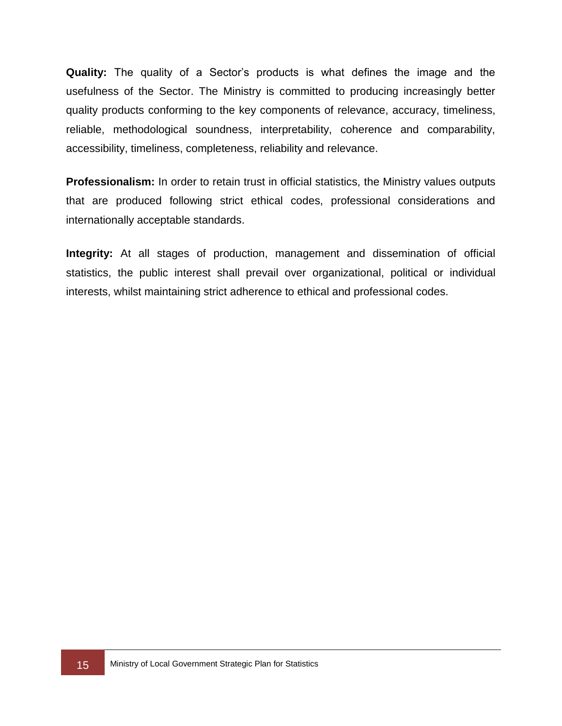**Quality:** The quality of a Sector's products is what defines the image and the usefulness of the Sector. The Ministry is committed to producing increasingly better quality products conforming to the key components of relevance, accuracy, timeliness, reliable, methodological soundness, interpretability, coherence and comparability, accessibility, timeliness, completeness, reliability and relevance.

**Professionalism:** In order to retain trust in official statistics, the Ministry values outputs that are produced following strict ethical codes, professional considerations and internationally acceptable standards.

**Integrity:** At all stages of production, management and dissemination of official statistics, the public interest shall prevail over organizational, political or individual interests, whilst maintaining strict adherence to ethical and professional codes.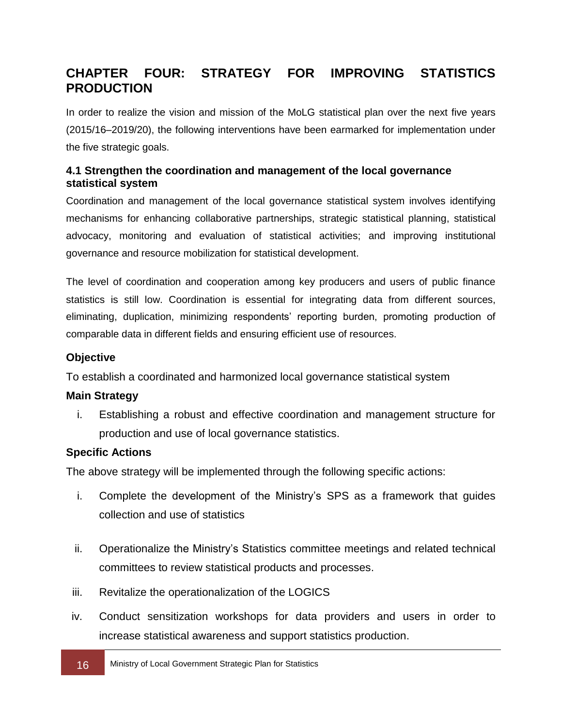## <span id="page-23-0"></span>**CHAPTER FOUR: STRATEGY FOR IMPROVING STATISTICS PRODUCTION**

In order to realize the vision and mission of the MoLG statistical plan over the next five years (2015/16–2019/20), the following interventions have been earmarked for implementation under the five strategic goals.

### <span id="page-23-1"></span>**4.1 Strengthen the coordination and management of the local governance statistical system**

Coordination and management of the local governance statistical system involves identifying mechanisms for enhancing collaborative partnerships, strategic statistical planning, statistical advocacy, monitoring and evaluation of statistical activities; and improving institutional governance and resource mobilization for statistical development.

The level of coordination and cooperation among key producers and users of public finance statistics is still low. Coordination is essential for integrating data from different sources, eliminating, duplication, minimizing respondents' reporting burden, promoting production of comparable data in different fields and ensuring efficient use of resources.

### **Objective**

To establish a coordinated and harmonized local governance statistical system

#### **Main Strategy**

i. Establishing a robust and effective coordination and management structure for production and use of local governance statistics.

### **Specific Actions**

The above strategy will be implemented through the following specific actions:

- i. Complete the development of the Ministry's SPS as a framework that guides collection and use of statistics
- ii. Operationalize the Ministry's Statistics committee meetings and related technical committees to review statistical products and processes.
- iii. Revitalize the operationalization of the LOGICS
- iv. Conduct sensitization workshops for data providers and users in order to increase statistical awareness and support statistics production.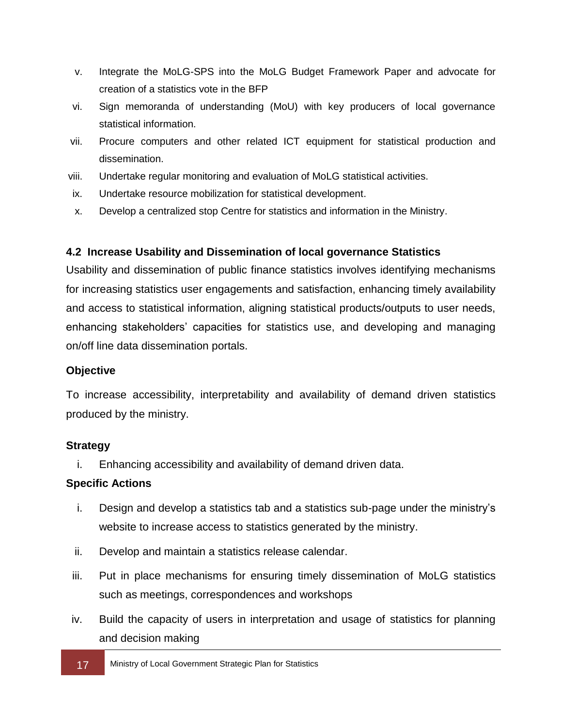- v. Integrate the MoLG-SPS into the MoLG Budget Framework Paper and advocate for creation of a statistics vote in the BFP
- vi. Sign memoranda of understanding (MoU) with key producers of local governance statistical information.
- vii. Procure computers and other related ICT equipment for statistical production and dissemination.
- viii. Undertake regular monitoring and evaluation of MoLG statistical activities.
- ix. Undertake resource mobilization for statistical development.
- x. Develop a centralized stop Centre for statistics and information in the Ministry.

### <span id="page-24-0"></span>**4.2 Increase Usability and Dissemination of local governance Statistics**

Usability and dissemination of public finance statistics involves identifying mechanisms for increasing statistics user engagements and satisfaction, enhancing timely availability and access to statistical information, aligning statistical products/outputs to user needs, enhancing stakeholders' capacities for statistics use, and developing and managing on/off line data dissemination portals.

### **Objective**

To increase accessibility, interpretability and availability of demand driven statistics produced by the ministry.

### **Strategy**

i. Enhancing accessibility and availability of demand driven data.

### **Specific Actions**

- i. Design and develop a statistics tab and a statistics sub-page under the ministry's website to increase access to statistics generated by the ministry.
- ii. Develop and maintain a statistics release calendar.
- iii. Put in place mechanisms for ensuring timely dissemination of MoLG statistics such as meetings, correspondences and workshops
- iv. Build the capacity of users in interpretation and usage of statistics for planning and decision making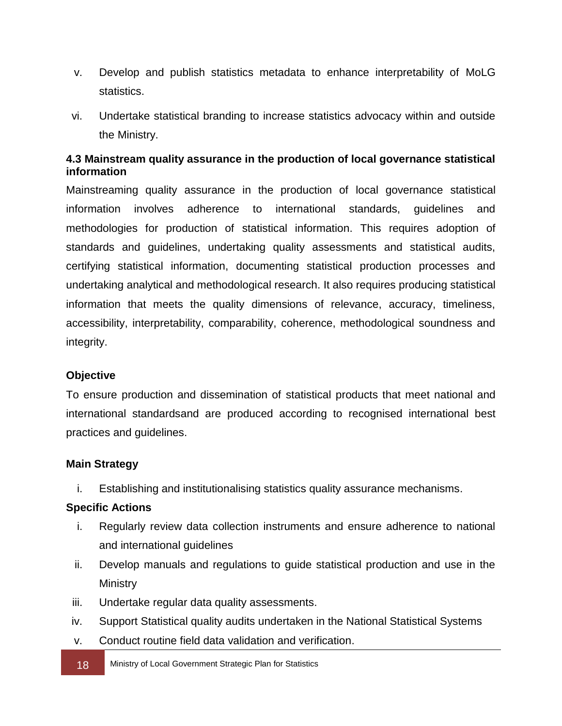- v. Develop and publish statistics metadata to enhance interpretability of MoLG statistics.
- vi. Undertake statistical branding to increase statistics advocacy within and outside the Ministry.

### <span id="page-25-0"></span>**4.3 Mainstream quality assurance in the production of local governance statistical information**

Mainstreaming quality assurance in the production of local governance statistical information involves adherence to international standards, guidelines and methodologies for production of statistical information. This requires adoption of standards and guidelines, undertaking quality assessments and statistical audits, certifying statistical information, documenting statistical production processes and undertaking analytical and methodological research. It also requires producing statistical information that meets the quality dimensions of relevance, accuracy, timeliness, accessibility, interpretability, comparability, coherence, methodological soundness and integrity.

### **Objective**

To ensure production and dissemination of statistical products that meet national and international standardsand are produced according to recognised international best practices and guidelines.

### **Main Strategy**

i. Establishing and institutionalising statistics quality assurance mechanisms.

#### **Specific Actions**

- i. Regularly review data collection instruments and ensure adherence to national and international guidelines
- ii. Develop manuals and regulations to guide statistical production and use in the Ministry
- iii. Undertake regular data quality assessments.
- iv. Support Statistical quality audits undertaken in the National Statistical Systems
- v. Conduct routine field data validation and verification.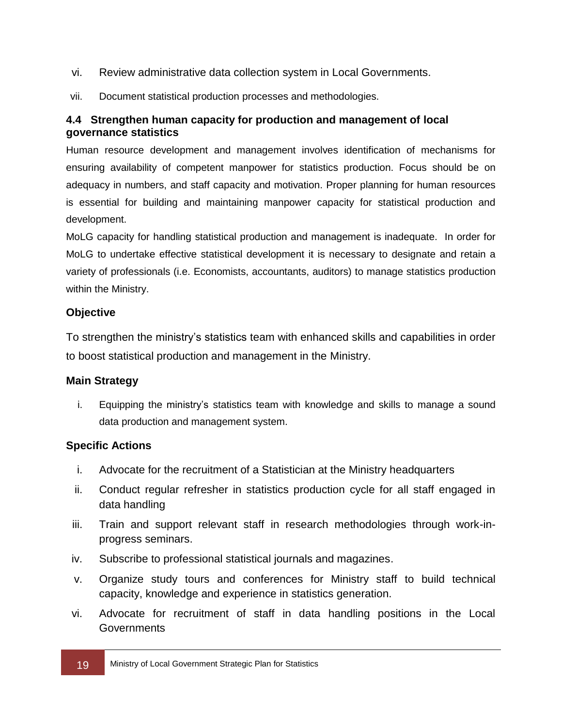- vi. Review administrative data collection system in Local Governments.
- vii. Document statistical production processes and methodologies.

### <span id="page-26-0"></span>**4.4 Strengthen human capacity for production and management of local governance statistics**

Human resource development and management involves identification of mechanisms for ensuring availability of competent manpower for statistics production. Focus should be on adequacy in numbers, and staff capacity and motivation. Proper planning for human resources is essential for building and maintaining manpower capacity for statistical production and development.

MoLG capacity for handling statistical production and management is inadequate. In order for MoLG to undertake effective statistical development it is necessary to designate and retain a variety of professionals (i.e. Economists, accountants, auditors) to manage statistics production within the Ministry.

### **Objective**

To strengthen the ministry's statistics team with enhanced skills and capabilities in order to boost statistical production and management in the Ministry.

### **Main Strategy**

i. Equipping the ministry's statistics team with knowledge and skills to manage a sound data production and management system.

### **Specific Actions**

- i. Advocate for the recruitment of a Statistician at the Ministry headquarters
- ii. Conduct regular refresher in statistics production cycle for all staff engaged in data handling
- iii. Train and support relevant staff in research methodologies through work-inprogress seminars.
- iv. Subscribe to professional statistical journals and magazines.
- v. Organize study tours and conferences for Ministry staff to build technical capacity, knowledge and experience in statistics generation.
- vi. Advocate for recruitment of staff in data handling positions in the Local **Governments**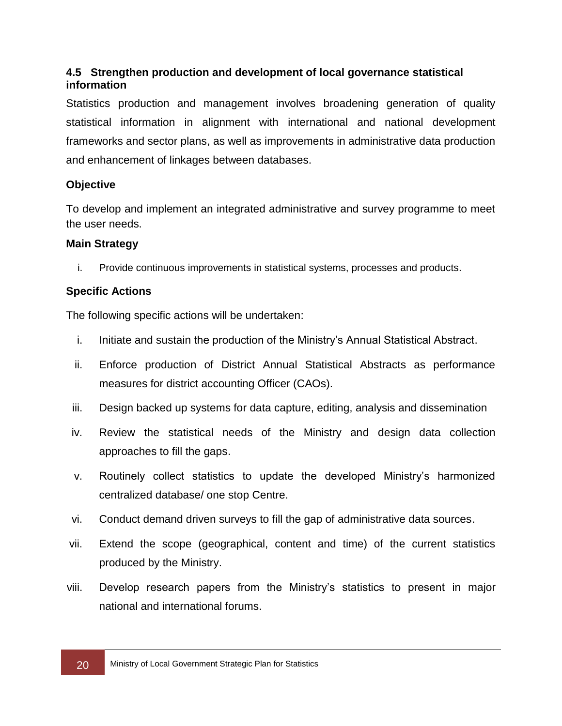### <span id="page-27-0"></span>**4.5 Strengthen production and development of local governance statistical information**

Statistics production and management involves broadening generation of quality statistical information in alignment with international and national development frameworks and sector plans, as well as improvements in administrative data production and enhancement of linkages between databases.

### **Objective**

To develop and implement an integrated administrative and survey programme to meet the user needs.

### **Main Strategy**

i. Provide continuous improvements in statistical systems, processes and products.

### **Specific Actions**

The following specific actions will be undertaken:

- i. Initiate and sustain the production of the Ministry's Annual Statistical Abstract.
- ii. Enforce production of District Annual Statistical Abstracts as performance measures for district accounting Officer (CAOs).
- iii. Design backed up systems for data capture, editing, analysis and dissemination
- iv. Review the statistical needs of the Ministry and design data collection approaches to fill the gaps.
- v. Routinely collect statistics to update the developed Ministry's harmonized centralized database/ one stop Centre.
- vi. Conduct demand driven surveys to fill the gap of administrative data sources.
- vii. Extend the scope (geographical, content and time) of the current statistics produced by the Ministry.
- viii. Develop research papers from the Ministry's statistics to present in major national and international forums.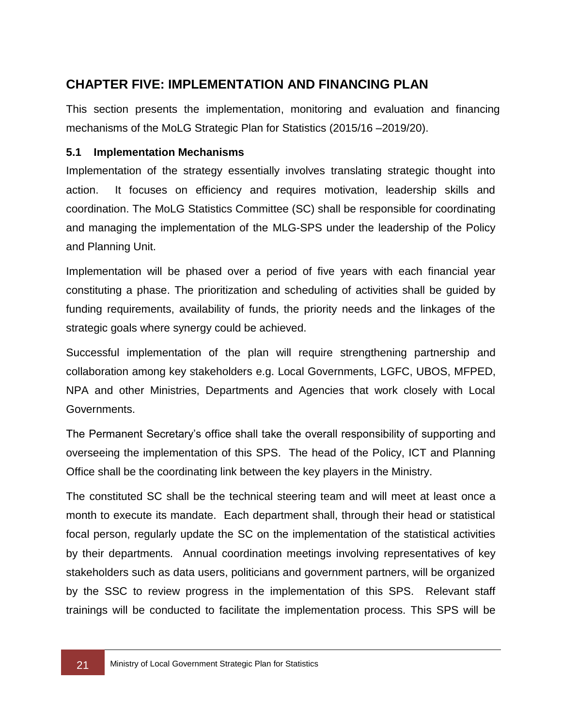## <span id="page-28-0"></span>**CHAPTER FIVE: IMPLEMENTATION AND FINANCING PLAN**

This section presents the implementation, monitoring and evaluation and financing mechanisms of the MoLG Strategic Plan for Statistics (2015/16 –2019/20).

### <span id="page-28-1"></span>**5.1 Implementation Mechanisms**

Implementation of the strategy essentially involves translating strategic thought into action. It focuses on efficiency and requires motivation, leadership skills and coordination. The MoLG Statistics Committee (SC) shall be responsible for coordinating and managing the implementation of the MLG-SPS under the leadership of the Policy and Planning Unit.

Implementation will be phased over a period of five years with each financial year constituting a phase. The prioritization and scheduling of activities shall be guided by funding requirements, availability of funds, the priority needs and the linkages of the strategic goals where synergy could be achieved.

Successful implementation of the plan will require strengthening partnership and collaboration among key stakeholders e.g. Local Governments, LGFC, UBOS, MFPED, NPA and other Ministries, Departments and Agencies that work closely with Local Governments.

The Permanent Secretary's office shall take the overall responsibility of supporting and overseeing the implementation of this SPS. The head of the Policy, ICT and Planning Office shall be the coordinating link between the key players in the Ministry.

The constituted SC shall be the technical steering team and will meet at least once a month to execute its mandate. Each department shall, through their head or statistical focal person, regularly update the SC on the implementation of the statistical activities by their departments. Annual coordination meetings involving representatives of key stakeholders such as data users, politicians and government partners, will be organized by the SSC to review progress in the implementation of this SPS. Relevant staff trainings will be conducted to facilitate the implementation process. This SPS will be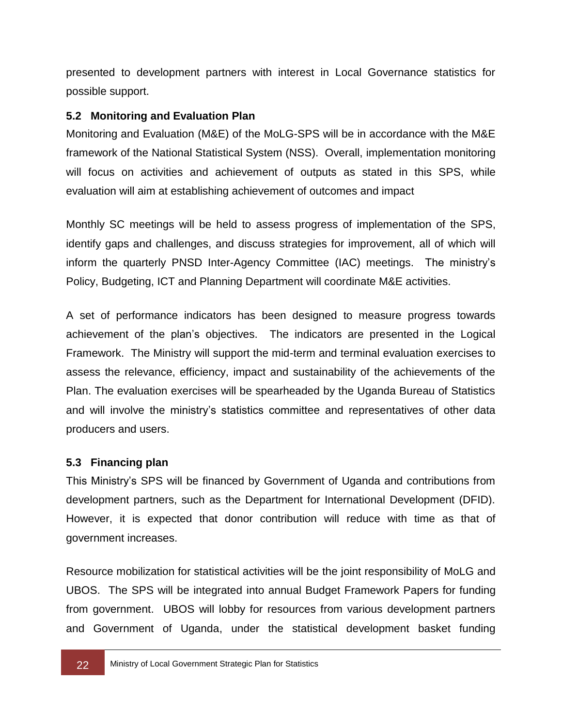presented to development partners with interest in Local Governance statistics for possible support.

### <span id="page-29-0"></span>**5.2 Monitoring and Evaluation Plan**

Monitoring and Evaluation (M&E) of the MoLG-SPS will be in accordance with the M&E framework of the National Statistical System (NSS). Overall, implementation monitoring will focus on activities and achievement of outputs as stated in this SPS, while evaluation will aim at establishing achievement of outcomes and impact

Monthly SC meetings will be held to assess progress of implementation of the SPS, identify gaps and challenges, and discuss strategies for improvement, all of which will inform the quarterly PNSD Inter-Agency Committee (IAC) meetings. The ministry's Policy, Budgeting, ICT and Planning Department will coordinate M&E activities.

A set of performance indicators has been designed to measure progress towards achievement of the plan's objectives. The indicators are presented in the Logical Framework. The Ministry will support the mid-term and terminal evaluation exercises to assess the relevance, efficiency, impact and sustainability of the achievements of the Plan. The evaluation exercises will be spearheaded by the Uganda Bureau of Statistics and will involve the ministry's statistics committee and representatives of other data producers and users.

#### <span id="page-29-1"></span>**5.3 Financing plan**

This Ministry's SPS will be financed by Government of Uganda and contributions from development partners, such as the Department for International Development (DFID). However, it is expected that donor contribution will reduce with time as that of government increases.

Resource mobilization for statistical activities will be the joint responsibility of MoLG and UBOS. The SPS will be integrated into annual Budget Framework Papers for funding from government. UBOS will lobby for resources from various development partners and Government of Uganda, under the statistical development basket funding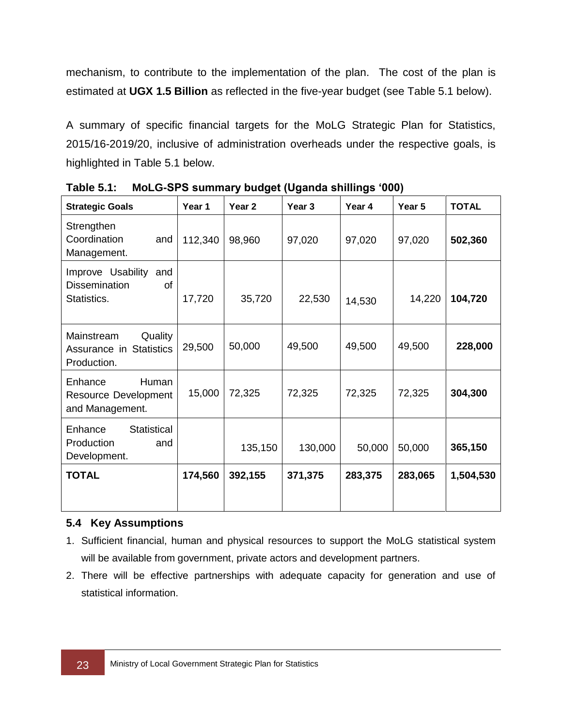mechanism, to contribute to the implementation of the plan. The cost of the plan is estimated at **UGX 1.5 Billion** as reflected in the five-year budget (see Table 5.1 below).

A summary of specific financial targets for the MoLG Strategic Plan for Statistics, 2015/16-2019/20, inclusive of administration overheads under the respective goals, is highlighted in Table 5.1 below.

| <b>Strategic Goals</b>                                             | Year 1  | Year <sub>2</sub> | Year <sub>3</sub> | Year 4  | Year 5  | <b>TOTAL</b> |
|--------------------------------------------------------------------|---------|-------------------|-------------------|---------|---------|--------------|
| Strengthen<br>Coordination<br>and<br>Management.                   | 112,340 | 98,960            | 97,020            | 97,020  | 97,020  | 502,360      |
| Improve Usability and<br><b>Dissemination</b><br>οf<br>Statistics. | 17,720  | 35,720            | 22,530            | 14,530  | 14,220  | 104,720      |
| Quality<br>Mainstream<br>Assurance in Statistics<br>Production.    | 29,500  | 50,000            | 49,500            | 49,500  | 49,500  | 228,000      |
| Human<br>Enhance<br><b>Resource Development</b><br>and Management. | 15,000  | 72,325            | 72,325            | 72,325  | 72,325  | 304,300      |
| <b>Statistical</b><br>Enhance<br>Production<br>and<br>Development. |         | 135,150           | 130,000           | 50,000  | 50,000  | 365,150      |
| <b>TOTAL</b>                                                       | 174,560 | 392,155           | 371,375           | 283,375 | 283,065 | 1,504,530    |

**Table 5.1: MoLG-SPS summary budget (Uganda shillings '000)**

### <span id="page-30-0"></span>**5.4 Key Assumptions**

- 1. Sufficient financial, human and physical resources to support the MoLG statistical system will be available from government, private actors and development partners.
- 2. There will be effective partnerships with adequate capacity for generation and use of statistical information.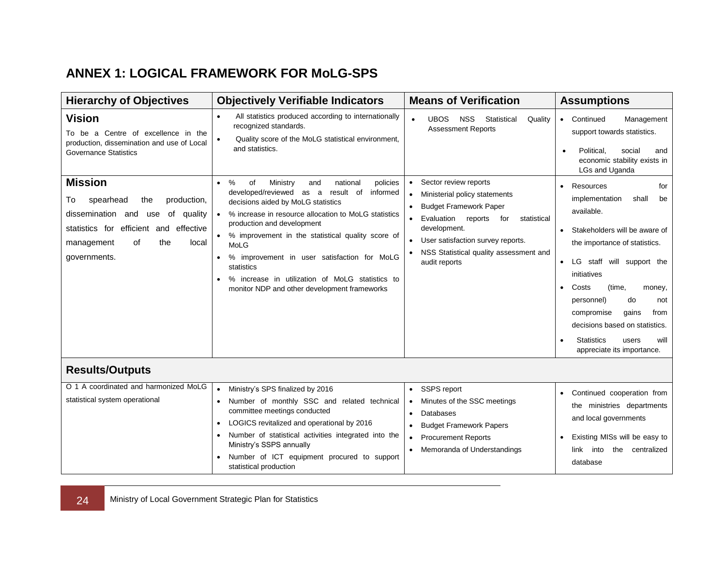## **ANNEX 1: LOGICAL FRAMEWORK FOR MoLG-SPS**

<span id="page-31-0"></span>

| <b>Hierarchy of Objectives</b>                                                                                                                                                                     | <b>Objectively Verifiable Indicators</b>                                                                                                                                                                                                                                                                                                                                                                                                                                        | <b>Means of Verification</b>                                                                                                                                                                                                                                                                                 | <b>Assumptions</b>                                                                                                                                                                                                                                                                                                                                                                                                             |
|----------------------------------------------------------------------------------------------------------------------------------------------------------------------------------------------------|---------------------------------------------------------------------------------------------------------------------------------------------------------------------------------------------------------------------------------------------------------------------------------------------------------------------------------------------------------------------------------------------------------------------------------------------------------------------------------|--------------------------------------------------------------------------------------------------------------------------------------------------------------------------------------------------------------------------------------------------------------------------------------------------------------|--------------------------------------------------------------------------------------------------------------------------------------------------------------------------------------------------------------------------------------------------------------------------------------------------------------------------------------------------------------------------------------------------------------------------------|
| <b>Vision</b><br>To be a Centre of excellence in the<br>production, dissemination and use of Local<br><b>Governance Statistics</b>                                                                 | All statistics produced according to internationally<br>$\bullet$<br>recognized standards.<br>Quality score of the MoLG statistical environment,<br>$\bullet$<br>and statistics.                                                                                                                                                                                                                                                                                                | <b>UBOS</b><br><b>NSS</b><br>Statistical<br>Quality<br>$\bullet$<br><b>Assessment Reports</b>                                                                                                                                                                                                                | Continued<br>Management<br>$\bullet$<br>support towards statistics.<br>Political,<br>social<br>and<br>$\bullet$<br>economic stability exists in<br>LGs and Uganda                                                                                                                                                                                                                                                              |
| <b>Mission</b><br>production,<br>spearhead<br>10<br>the<br>dissemination and<br>of quality<br>use<br>efficient and effective<br>statistics for<br>the<br>management<br>οf<br>local<br>governments. | $\%$<br>of<br>Ministry<br>national<br>policies<br>$\bullet$<br>and<br>developed/reviewed as a<br>result of<br>informed<br>decisions aided by MoLG statistics<br>% increase in resource allocation to MoLG statistics<br>production and development<br>% improvement in the statistical quality score of<br>MoLG<br>% improvement in user satisfaction for MoLG<br>statistics<br>% increase in utilization of MoLG statistics to<br>monitor NDP and other development frameworks | • Sector review reports<br>Ministerial policy statements<br>$\bullet$<br><b>Budget Framework Paper</b><br>$\bullet$<br>Evaluation<br>reports<br>for<br>statistical<br>$\bullet$<br>development.<br>User satisfaction survey reports.<br>$\bullet$<br>NSS Statistical quality assessment and<br>audit reports | Resources<br>for<br>$\bullet$<br>implementation<br>shall<br>be<br>available.<br>Stakeholders will be aware of<br>$\bullet$<br>the importance of statistics.<br>LG staff will support the<br>$\bullet$<br>initiatives<br>Costs<br>(time,<br>$\bullet$<br>money,<br>personnel)<br>do<br>not<br>compromise<br>gains<br>from<br>decisions based on statistics.<br><b>Statistics</b><br>will<br>users<br>appreciate its importance. |
| <b>Results/Outputs</b>                                                                                                                                                                             |                                                                                                                                                                                                                                                                                                                                                                                                                                                                                 |                                                                                                                                                                                                                                                                                                              |                                                                                                                                                                                                                                                                                                                                                                                                                                |
| O 1 A coordinated and harmonized MoLG<br>statistical system operational                                                                                                                            | Ministry's SPS finalized by 2016<br>$\bullet$<br>Number of monthly SSC and related technical<br>committee meetings conducted<br>LOGICS revitalized and operational by 2016<br>$\bullet$<br>Number of statistical activities integrated into the<br>Ministry's SSPS annually<br>Number of ICT equipment procured to support<br>statistical production                                                                                                                            | • SSPS report<br>Minutes of the SSC meetings<br>Databases<br>$\bullet$<br><b>Budget Framework Papers</b><br>$\bullet$<br><b>Procurement Reports</b><br>$\bullet$<br>Memoranda of Understandings<br>$\bullet$                                                                                                 | Continued cooperation from<br>$\bullet$<br>the ministries departments<br>and local governments<br>Existing MISs will be easy to<br>the centralized<br>link into<br>database                                                                                                                                                                                                                                                    |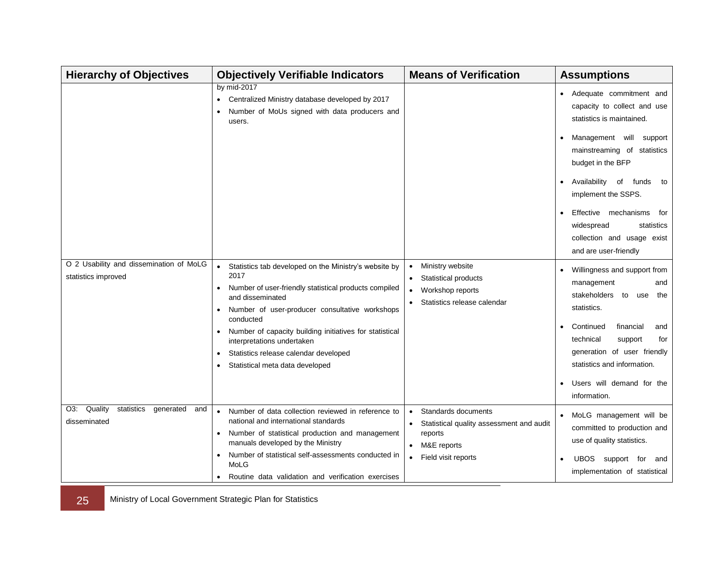| <b>Hierarchy of Objectives</b>                                 | <b>Objectively Verifiable Indicators</b>                                                                                                                                                                                                                                                                                                                                                    | <b>Means of Verification</b>                                                                                                                 | <b>Assumptions</b>                                                                                                                                                                                                                                                                                                                                       |
|----------------------------------------------------------------|---------------------------------------------------------------------------------------------------------------------------------------------------------------------------------------------------------------------------------------------------------------------------------------------------------------------------------------------------------------------------------------------|----------------------------------------------------------------------------------------------------------------------------------------------|----------------------------------------------------------------------------------------------------------------------------------------------------------------------------------------------------------------------------------------------------------------------------------------------------------------------------------------------------------|
|                                                                | by mid-2017<br>Centralized Ministry database developed by 2017<br>Number of MoUs signed with data producers and<br>users.                                                                                                                                                                                                                                                                   |                                                                                                                                              | Adequate commitment and<br>capacity to collect and use<br>statistics is maintained.<br>Management will<br>support<br>mainstreaming of statistics<br>budget in the BFP<br>Availability<br>of<br>funds<br>to<br>implement the SSPS.<br>Effective mechanisms<br>for<br>٠<br>widespread<br>statistics<br>collection and usage exist<br>and are user-friendly |
| O 2 Usability and dissemination of MoLG<br>statistics improved | Statistics tab developed on the Ministry's website by<br>$\bullet$<br>2017<br>Number of user-friendly statistical products compiled<br>and disseminated<br>Number of user-producer consultative workshops<br>conducted<br>Number of capacity building initiatives for statistical<br>interpretations undertaken<br>Statistics release calendar developed<br>Statistical meta data developed | Ministry website<br>$\bullet$<br>Statistical products<br>$\bullet$<br>Workshop reports<br>٠<br>Statistics release calendar<br>$\bullet$      | Willingness and support from<br>management<br>and<br>stakeholders<br>to use<br>the<br>statistics.<br>Continued<br>financial<br>and<br>technical<br>support<br>for<br>generation of user friendly<br>statistics and information.<br>Users will demand for the<br>information.                                                                             |
| O3: Quality<br>statistics<br>generated<br>and<br>disseminated  | Number of data collection reviewed in reference to<br>$\bullet$<br>national and international standards<br>Number of statistical production and management<br>manuals developed by the Ministry<br>Number of statistical self-assessments conducted in<br>MoLG<br>Routine data validation and verification exercises                                                                        | Standards documents<br>$\bullet$<br>Statistical quality assessment and audit<br>reports<br>• M&E reports<br>Field visit reports<br>$\bullet$ | MoLG management will be<br>committed to production and<br>use of quality statistics.<br>UBOS support<br>for<br>and<br>٠<br>implementation of statistical                                                                                                                                                                                                 |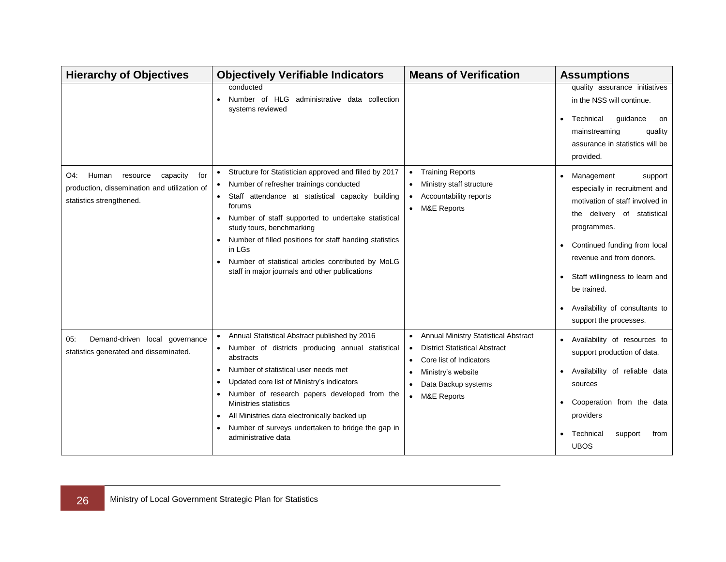| <b>Hierarchy of Objectives</b>                                                                                          | <b>Objectively Verifiable Indicators</b>                                                                                                                                                                                                                                                                                                                                                                                                           | <b>Means of Verification</b>                                                                                                                                                                               | <b>Assumptions</b>                                                                                                                                                                                                                                                                                               |
|-------------------------------------------------------------------------------------------------------------------------|----------------------------------------------------------------------------------------------------------------------------------------------------------------------------------------------------------------------------------------------------------------------------------------------------------------------------------------------------------------------------------------------------------------------------------------------------|------------------------------------------------------------------------------------------------------------------------------------------------------------------------------------------------------------|------------------------------------------------------------------------------------------------------------------------------------------------------------------------------------------------------------------------------------------------------------------------------------------------------------------|
|                                                                                                                         | conducted<br>Number of HLG administrative data collection<br>systems reviewed                                                                                                                                                                                                                                                                                                                                                                      |                                                                                                                                                                                                            | quality assurance initiatives<br>in the NSS will continue.<br>Technical<br>guidance<br>on<br>٠<br>mainstreaming<br>quality<br>assurance in statistics will be<br>provided.                                                                                                                                       |
| Human<br>O4:<br>resource<br>capacity<br>for<br>production, dissemination and utilization of<br>statistics strengthened. | Structure for Statistician approved and filled by 2017<br>Number of refresher trainings conducted<br>٠<br>Staff attendance at statistical capacity building<br>forums<br>Number of staff supported to undertake statistical<br>$\bullet$<br>study tours, benchmarking<br>Number of filled positions for staff handing statistics<br>in LGs<br>Number of statistical articles contributed by MoLG<br>staff in major journals and other publications | <b>Training Reports</b><br>Ministry staff structure<br>$\bullet$<br>Accountability reports<br><b>M&amp;E Reports</b><br>$\bullet$                                                                          | Management<br>support<br>especially in recruitment and<br>motivation of staff involved in<br>the delivery of statistical<br>programmes.<br>Continued funding from local<br>revenue and from donors.<br>Staff willingness to learn and<br>be trained.<br>Availability of consultants to<br>support the processes. |
| Demand-driven local governance<br>05.<br>statistics generated and disseminated.                                         | Annual Statistical Abstract published by 2016<br>Number of districts producing annual statistical<br>abstracts<br>Number of statistical user needs met<br>$\bullet$<br>Updated core list of Ministry's indicators<br>Number of research papers developed from the<br>Ministries statistics<br>All Ministries data electronically backed up<br>Number of surveys undertaken to bridge the gap in<br>administrative data                             | • Annual Ministry Statistical Abstract<br><b>District Statistical Abstract</b><br>Core list of Indicators<br>Ministry's website<br>Data Backup systems<br>$\bullet$<br><b>M&amp;E Reports</b><br>$\bullet$ | Availability of resources to<br>$\bullet$<br>support production of data.<br>Availability of reliable data<br>sources<br>Cooperation from the data<br>providers<br>Technical<br>support<br>from<br><b>UBOS</b>                                                                                                    |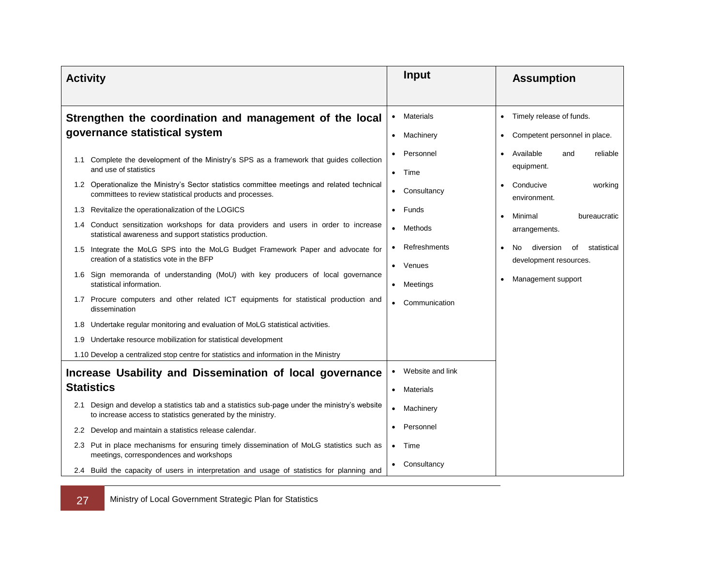| <b>Activity</b>                                                                          |                                                                                                                                                                                                                                                                                                                                                                                                                                                           | Input                                                                   | <b>Assumption</b>                                                                                                                     |
|------------------------------------------------------------------------------------------|-----------------------------------------------------------------------------------------------------------------------------------------------------------------------------------------------------------------------------------------------------------------------------------------------------------------------------------------------------------------------------------------------------------------------------------------------------------|-------------------------------------------------------------------------|---------------------------------------------------------------------------------------------------------------------------------------|
| Strengthen the coordination and management of the local<br>governance statistical system |                                                                                                                                                                                                                                                                                                                                                                                                                                                           | • Materials<br>Machinery<br>$\bullet$<br>Personnel                      | Timely release of funds.<br>$\bullet$<br>Competent personnel in place.<br>$\bullet$<br>Available<br>reliable<br>and<br>$\bullet$      |
|                                                                                          | 1.1 Complete the development of the Ministry's SPS as a framework that guides collection<br>and use of statistics<br>1.2 Operationalize the Ministry's Sector statistics committee meetings and related technical<br>committees to review statistical products and processes.                                                                                                                                                                             | Time<br>$\bullet$<br>Consultancy<br>$\bullet$                           | equipment.<br>Conducive<br>working<br>environment.                                                                                    |
|                                                                                          | 1.3 Revitalize the operationalization of the LOGICS<br>1.4 Conduct sensitization workshops for data providers and users in order to increase<br>statistical awareness and support statistics production.<br>1.5 Integrate the MoLG SPS into the MoLG Budget Framework Paper and advocate for<br>creation of a statistics vote in the BFP                                                                                                                  | Funds<br>• Methods<br>Refreshments                                      | Minimal<br>bureaucratic<br>$\bullet$<br>arrangements.<br>diversion<br>No.<br>οf<br>statistical<br>$\bullet$<br>development resources. |
| 1.6                                                                                      | Sign memoranda of understanding (MoU) with key producers of local governance<br>statistical information.<br>1.7 Procure computers and other related ICT equipments for statistical production and<br>dissemination                                                                                                                                                                                                                                        | • Venues<br>Meetings<br>$\bullet$<br>Communication                      | Management support                                                                                                                    |
|                                                                                          | 1.8 Undertake regular monitoring and evaluation of MoLG statistical activities.<br>1.9 Undertake resource mobilization for statistical development<br>1.10 Develop a centralized stop centre for statistics and information in the Ministry                                                                                                                                                                                                               |                                                                         |                                                                                                                                       |
|                                                                                          | Increase Usability and Dissemination of local governance<br><b>Statistics</b>                                                                                                                                                                                                                                                                                                                                                                             | Website and link<br>• Materials                                         |                                                                                                                                       |
| $2.2^{\circ}$                                                                            | 2.1 Design and develop a statistics tab and a statistics sub-page under the ministry's website<br>to increase access to statistics generated by the ministry.<br>Develop and maintain a statistics release calendar.<br>2.3 Put in place mechanisms for ensuring timely dissemination of MoLG statistics such as<br>meetings, correspondences and workshops<br>2.4 Build the capacity of users in interpretation and usage of statistics for planning and | Machinery<br>$\bullet$<br>Personnel<br>Time<br>$\bullet$<br>Consultancy |                                                                                                                                       |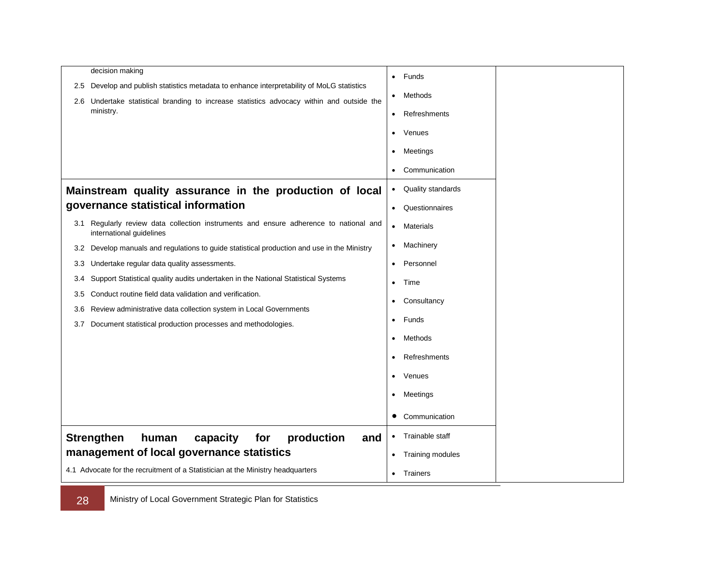| decision making                                                                                                                                 |                                |
|-------------------------------------------------------------------------------------------------------------------------------------------------|--------------------------------|
| Develop and publish statistics metadata to enhance interpretability of MoLG statistics<br>2.5                                                   | Funds<br>$\bullet$             |
| 2.6 Undertake statistical branding to increase statistics advocacy within and outside the                                                       | Methods<br>$\bullet$           |
| ministry.                                                                                                                                       | Refreshments<br>$\bullet$      |
|                                                                                                                                                 | Venues<br>$\bullet$            |
|                                                                                                                                                 | Meetings<br>$\bullet$          |
|                                                                                                                                                 | Communication<br>$\bullet$     |
| Mainstream quality assurance in the production of local                                                                                         | Quality standards<br>$\bullet$ |
| governance statistical information                                                                                                              | Questionnaires<br>$\bullet$    |
| Regularly review data collection instruments and ensure adherence to national and<br>3.1<br>international guidelines                            | Materials<br>$\bullet$         |
| Develop manuals and regulations to guide statistical production and use in the Ministry<br>3.2                                                  | Machinery<br>$\bullet$         |
| Undertake regular data quality assessments.<br>3.3                                                                                              | Personnel<br>$\bullet$         |
| Support Statistical quality audits undertaken in the National Statistical Systems<br>3.4                                                        | Time<br>$\bullet$              |
| Conduct routine field data validation and verification.<br>3.5                                                                                  | Consultancy<br>$\bullet$       |
| Review administrative data collection system in Local Governments<br>3.6<br>Document statistical production processes and methodologies.<br>3.7 | Funds<br>$\bullet$             |
|                                                                                                                                                 | Methods<br>$\bullet$           |
|                                                                                                                                                 | Refreshments<br>$\bullet$      |
|                                                                                                                                                 | Venues<br>$\bullet$            |
|                                                                                                                                                 | Meetings<br>$\bullet$          |
|                                                                                                                                                 | Communication                  |
| <b>Strengthen</b><br>production<br>human<br>capacity<br>for<br>and                                                                              | Trainable staff<br>$\bullet$   |
| management of local governance statistics                                                                                                       | Training modules<br>$\bullet$  |
| 4.1 Advocate for the recruitment of a Statistician at the Ministry headquarters                                                                 | Trainers<br>$\bullet$          |

28 Ministry of Local Government Strategic Plan for Statistics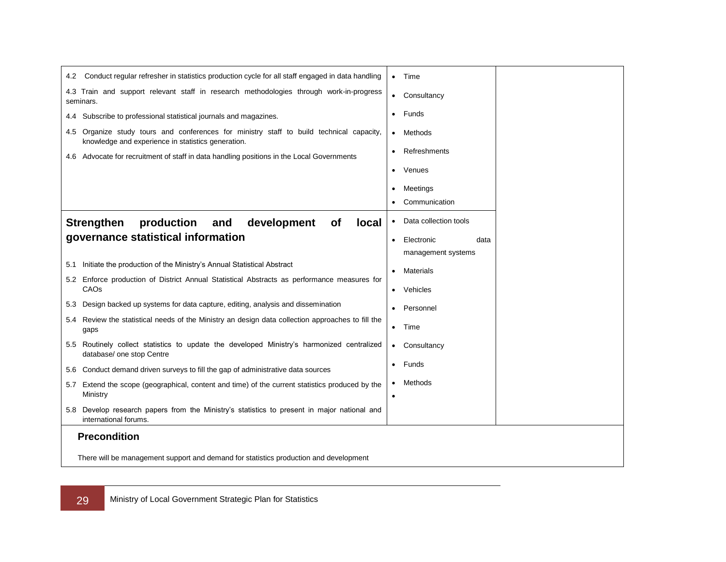| Conduct regular refresher in statistics production cycle for all staff engaged in data handling<br>4.2                                         | Time                            |
|------------------------------------------------------------------------------------------------------------------------------------------------|---------------------------------|
| 4.3 Train and support relevant staff in research methodologies through work-in-progress<br>seminars.                                           | Consultancy<br>$\bullet$        |
| 4.4 Subscribe to professional statistical journals and magazines.                                                                              | Funds<br>$\bullet$              |
| 4.5 Organize study tours and conferences for ministry staff to build technical capacity,<br>knowledge and experience in statistics generation. | Methods<br>$\bullet$            |
| Advocate for recruitment of staff in data handling positions in the Local Governments<br>4.6                                                   | Refreshments                    |
|                                                                                                                                                | Venues                          |
|                                                                                                                                                | Meetings                        |
|                                                                                                                                                | Communication                   |
| production<br>development<br><b>Strengthen</b><br>and<br><b>of</b><br><b>local</b>                                                             | Data collection tools           |
| governance statistical information                                                                                                             | Electronic<br>data<br>$\bullet$ |
| Initiate the production of the Ministry's Annual Statistical Abstract<br>5.1                                                                   | management systems              |
| Enforce production of District Annual Statistical Abstracts as performance measures for<br>5.2                                                 | Materials                       |
| CAOs                                                                                                                                           | Vehicles                        |
| Design backed up systems for data capture, editing, analysis and dissemination<br>5.3                                                          | Personnel                       |
| Review the statistical needs of the Ministry an design data collection approaches to fill the<br>5.4<br>gaps                                   | Time<br>$\bullet$               |
| Routinely collect statistics to update the developed Ministry's harmonized centralized<br>5.5<br>database/ one stop Centre                     | Consultancy<br>$\bullet$        |
| 5.6 Conduct demand driven surveys to fill the gap of administrative data sources                                                               | Funds<br>$\bullet$              |
| Extend the scope (geographical, content and time) of the current statistics produced by the<br>5.7<br>Ministry                                 | Methods                         |
| Develop research papers from the Ministry's statistics to present in major national and<br>5.8<br>international forums.                        |                                 |
| <b>Precondition</b>                                                                                                                            |                                 |
| There will be management support and demand for statistics production and development                                                          |                                 |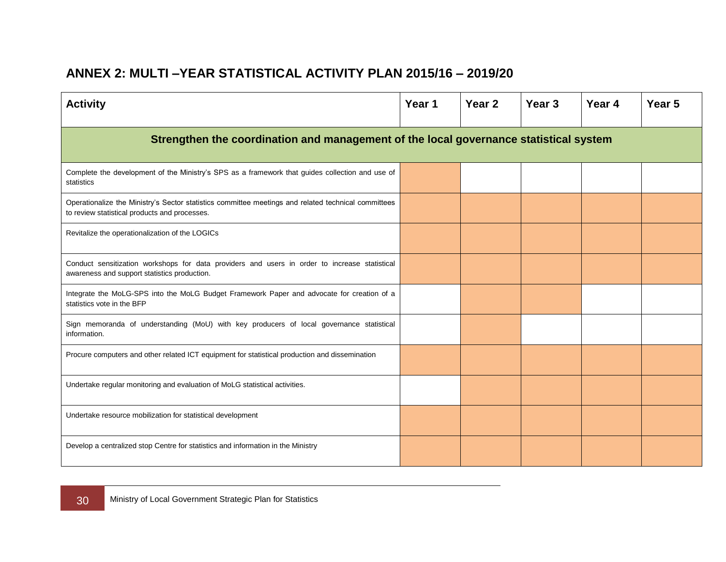## **ANNEX 2: MULTI –YEAR STATISTICAL ACTIVITY PLAN 2015/16 – 2019/20**

<span id="page-37-0"></span>

| <b>Activity</b>                                                                                                                                      | Year 1 | Year <sub>2</sub> | Year <sub>3</sub> | Year 4 | Year <sub>5</sub> |  |  |  |
|------------------------------------------------------------------------------------------------------------------------------------------------------|--------|-------------------|-------------------|--------|-------------------|--|--|--|
| Strengthen the coordination and management of the local governance statistical system                                                                |        |                   |                   |        |                   |  |  |  |
| Complete the development of the Ministry's SPS as a framework that guides collection and use of<br>statistics                                        |        |                   |                   |        |                   |  |  |  |
| Operationalize the Ministry's Sector statistics committee meetings and related technical committees<br>to review statistical products and processes. |        |                   |                   |        |                   |  |  |  |
| Revitalize the operationalization of the LOGICs                                                                                                      |        |                   |                   |        |                   |  |  |  |
| Conduct sensitization workshops for data providers and users in order to increase statistical<br>awareness and support statistics production.        |        |                   |                   |        |                   |  |  |  |
| Integrate the MoLG-SPS into the MoLG Budget Framework Paper and advocate for creation of a<br>statistics vote in the BFP                             |        |                   |                   |        |                   |  |  |  |
| Sign memoranda of understanding (MoU) with key producers of local governance statistical<br>information.                                             |        |                   |                   |        |                   |  |  |  |
| Procure computers and other related ICT equipment for statistical production and dissemination                                                       |        |                   |                   |        |                   |  |  |  |
| Undertake regular monitoring and evaluation of MoLG statistical activities.                                                                          |        |                   |                   |        |                   |  |  |  |
| Undertake resource mobilization for statistical development                                                                                          |        |                   |                   |        |                   |  |  |  |
| Develop a centralized stop Centre for statistics and information in the Ministry                                                                     |        |                   |                   |        |                   |  |  |  |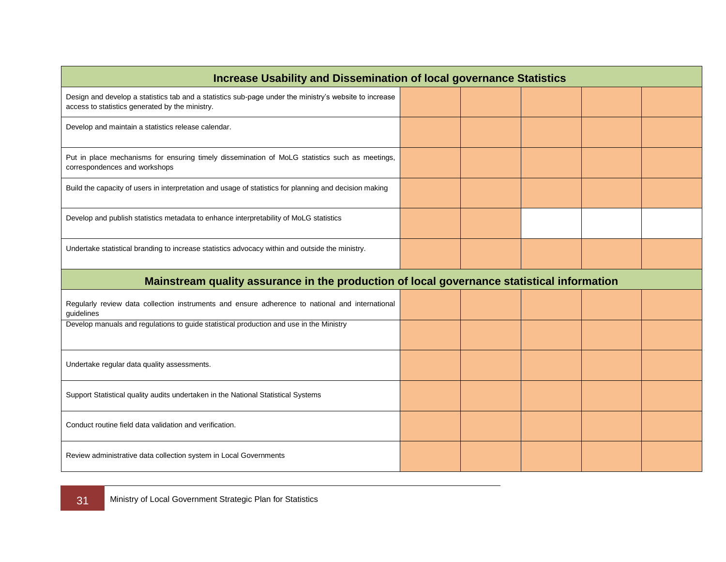| <b>Increase Usability and Dissemination of local governance Statistics</b>                                                                                |  |  |  |  |  |  |  |  |
|-----------------------------------------------------------------------------------------------------------------------------------------------------------|--|--|--|--|--|--|--|--|
| Design and develop a statistics tab and a statistics sub-page under the ministry's website to increase<br>access to statistics generated by the ministry. |  |  |  |  |  |  |  |  |
| Develop and maintain a statistics release calendar.                                                                                                       |  |  |  |  |  |  |  |  |
| Put in place mechanisms for ensuring timely dissemination of MoLG statistics such as meetings,<br>correspondences and workshops                           |  |  |  |  |  |  |  |  |
| Build the capacity of users in interpretation and usage of statistics for planning and decision making                                                    |  |  |  |  |  |  |  |  |
| Develop and publish statistics metadata to enhance interpretability of MoLG statistics                                                                    |  |  |  |  |  |  |  |  |
| Undertake statistical branding to increase statistics advocacy within and outside the ministry.                                                           |  |  |  |  |  |  |  |  |
| Mainstream quality assurance in the production of local governance statistical information                                                                |  |  |  |  |  |  |  |  |
|                                                                                                                                                           |  |  |  |  |  |  |  |  |
| Regularly review data collection instruments and ensure adherence to national and international<br>guidelines                                             |  |  |  |  |  |  |  |  |
| Develop manuals and regulations to guide statistical production and use in the Ministry                                                                   |  |  |  |  |  |  |  |  |
| Undertake regular data quality assessments.                                                                                                               |  |  |  |  |  |  |  |  |
| Support Statistical quality audits undertaken in the National Statistical Systems                                                                         |  |  |  |  |  |  |  |  |
| Conduct routine field data validation and verification.                                                                                                   |  |  |  |  |  |  |  |  |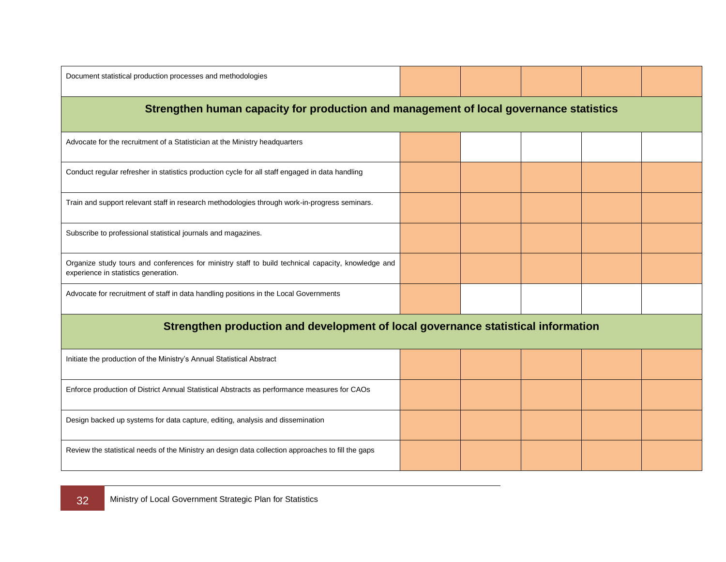| Document statistical production processes and methodologies                                                                                |  |  |  |  |  |  |  |  |  |
|--------------------------------------------------------------------------------------------------------------------------------------------|--|--|--|--|--|--|--|--|--|
| Strengthen human capacity for production and management of local governance statistics                                                     |  |  |  |  |  |  |  |  |  |
| Advocate for the recruitment of a Statistician at the Ministry headquarters                                                                |  |  |  |  |  |  |  |  |  |
| Conduct regular refresher in statistics production cycle for all staff engaged in data handling                                            |  |  |  |  |  |  |  |  |  |
| Train and support relevant staff in research methodologies through work-in-progress seminars.                                              |  |  |  |  |  |  |  |  |  |
| Subscribe to professional statistical journals and magazines.                                                                              |  |  |  |  |  |  |  |  |  |
| Organize study tours and conferences for ministry staff to build technical capacity, knowledge and<br>experience in statistics generation. |  |  |  |  |  |  |  |  |  |
| Advocate for recruitment of staff in data handling positions in the Local Governments                                                      |  |  |  |  |  |  |  |  |  |
| Strengthen production and development of local governance statistical information                                                          |  |  |  |  |  |  |  |  |  |
| Initiate the production of the Ministry's Annual Statistical Abstract                                                                      |  |  |  |  |  |  |  |  |  |
| Enforce production of District Annual Statistical Abstracts as performance measures for CAOs                                               |  |  |  |  |  |  |  |  |  |
| Design backed up systems for data capture, editing, analysis and dissemination                                                             |  |  |  |  |  |  |  |  |  |
| Review the statistical needs of the Ministry an design data collection approaches to fill the gaps                                         |  |  |  |  |  |  |  |  |  |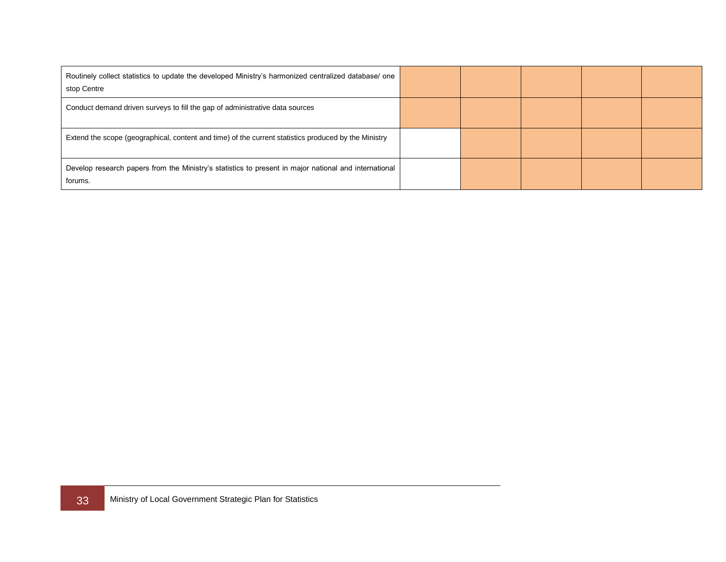| Routinely collect statistics to update the developed Ministry's harmonized centralized database/ one<br>stop Centre |  |  |  |
|---------------------------------------------------------------------------------------------------------------------|--|--|--|
| Conduct demand driven surveys to fill the gap of administrative data sources                                        |  |  |  |
| Extend the scope (geographical, content and time) of the current statistics produced by the Ministry                |  |  |  |
| Develop research papers from the Ministry's statistics to present in major national and international<br>forums.    |  |  |  |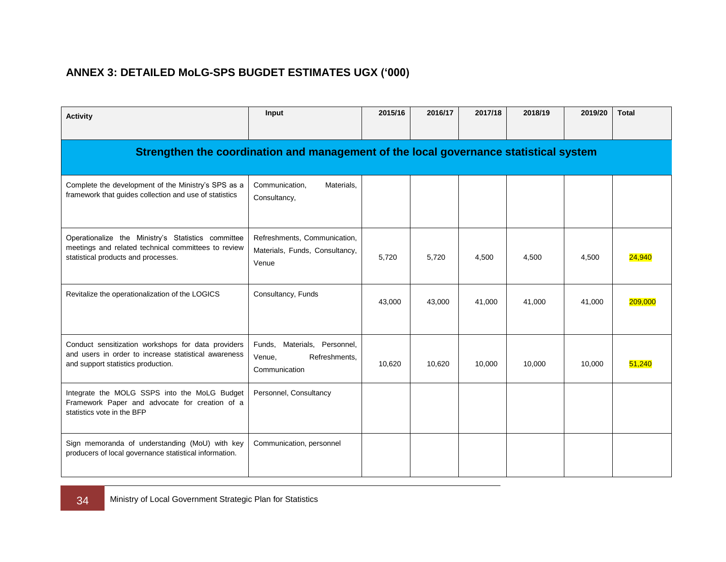## **ANNEX 3: DETAILED MoLG-SPS BUGDET ESTIMATES UGX ('000)**

<span id="page-41-0"></span>

| Input<br><b>Activity</b>                                                                                                                         |                                                                          | 2015/16 | 2016/17 | 2017/18 | 2018/19 | 2019/20 | <b>Total</b> |  |  |
|--------------------------------------------------------------------------------------------------------------------------------------------------|--------------------------------------------------------------------------|---------|---------|---------|---------|---------|--------------|--|--|
| Strengthen the coordination and management of the local governance statistical system                                                            |                                                                          |         |         |         |         |         |              |  |  |
| Complete the development of the Ministry's SPS as a<br>framework that guides collection and use of statistics                                    | Communication,<br>Materials,<br>Consultancy,                             |         |         |         |         |         |              |  |  |
| Operationalize the Ministry's Statistics committee<br>meetings and related technical committees to review<br>statistical products and processes. | Refreshments, Communication,<br>Materials, Funds, Consultancy,<br>Venue  | 5,720   | 5,720   | 4,500   | 4,500   | 4,500   | 24,940       |  |  |
| Revitalize the operationalization of the LOGICS                                                                                                  | Consultancy, Funds                                                       | 43,000  | 43,000  | 41,000  | 41,000  | 41,000  | 209,000      |  |  |
| Conduct sensitization workshops for data providers<br>and users in order to increase statistical awareness<br>and support statistics production. | Funds, Materials, Personnel,<br>Refreshments.<br>Venue,<br>Communication | 10,620  | 10,620  | 10,000  | 10,000  | 10,000  | 51,240       |  |  |
| Integrate the MOLG SSPS into the MoLG Budget<br>Framework Paper and advocate for creation of a<br>statistics vote in the BFP                     | Personnel, Consultancy                                                   |         |         |         |         |         |              |  |  |
| Sign memoranda of understanding (MoU) with key<br>producers of local governance statistical information.                                         | Communication, personnel                                                 |         |         |         |         |         |              |  |  |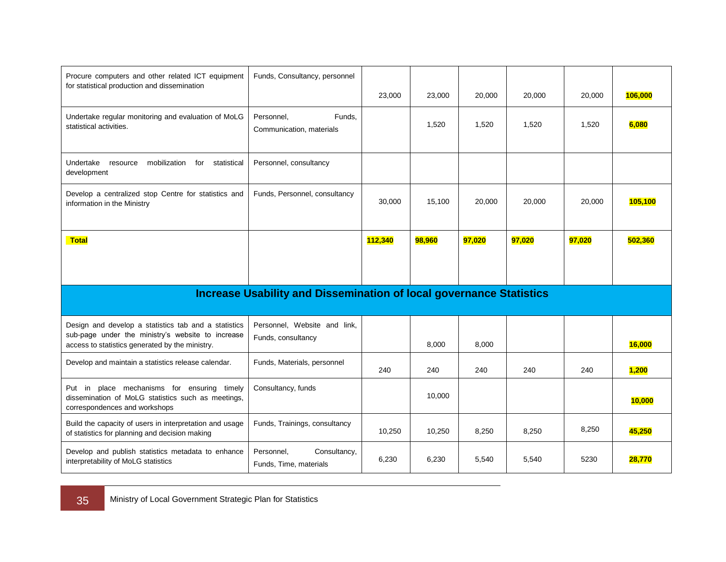| Procure computers and other related ICT equipment<br>for statistical production and dissemination                                                            | Funds, Consultancy, personnel                                              | 23,000  | 23,000 | 20,000 | 20,000 | 20,000 | 106,000 |
|--------------------------------------------------------------------------------------------------------------------------------------------------------------|----------------------------------------------------------------------------|---------|--------|--------|--------|--------|---------|
| Undertake regular monitoring and evaluation of MoLG<br>statistical activities.                                                                               | Personnel,<br>Funds.<br>Communication, materials                           |         | 1,520  | 1,520  | 1,520  | 1,520  | 6,080   |
| mobilization for<br>Undertake<br>statistical<br>resource<br>development                                                                                      | Personnel, consultancy                                                     |         |        |        |        |        |         |
| Develop a centralized stop Centre for statistics and<br>information in the Ministry                                                                          | Funds, Personnel, consultancy                                              | 30,000  | 15,100 | 20,000 | 20,000 | 20,000 | 105,100 |
| <b>Total</b>                                                                                                                                                 |                                                                            | 112,340 | 98,960 | 97,020 | 97,020 | 97,020 | 502,360 |
|                                                                                                                                                              |                                                                            |         |        |        |        |        |         |
|                                                                                                                                                              | <b>Increase Usability and Dissemination of local governance Statistics</b> |         |        |        |        |        |         |
| Design and develop a statistics tab and a statistics<br>sub-page under the ministry's website to increase<br>access to statistics generated by the ministry. | Personnel, Website and link,<br>Funds, consultancy                         |         | 8,000  | 8,000  |        |        | 16,000  |
| Develop and maintain a statistics release calendar.                                                                                                          | Funds, Materials, personnel                                                | 240     | 240    | 240    | 240    | 240    | 1,200   |
| Put in place mechanisms for ensuring timely<br>dissemination of MoLG statistics such as meetings,<br>correspondences and workshops                           | Consultancy, funds                                                         |         | 10,000 |        |        |        | 10,000  |
| Build the capacity of users in interpretation and usage<br>of statistics for planning and decision making                                                    | Funds, Trainings, consultancy                                              | 10,250  | 10,250 | 8,250  | 8,250  | 8,250  | 45,250  |
| Develop and publish statistics metadata to enhance<br>interpretability of MoLG statistics                                                                    | Consultancy,<br>Personnel,<br>Funds, Time, materials                       | 6,230   | 6,230  | 5,540  | 5,540  | 5230   | 28,770  |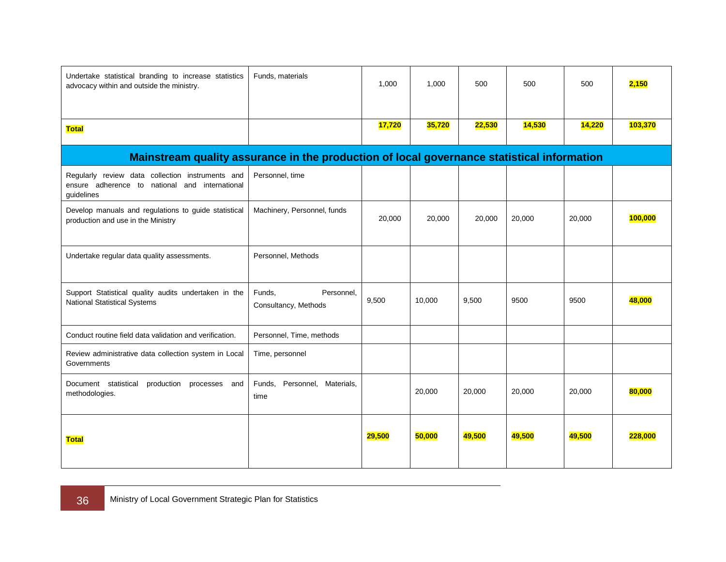| Undertake statistical branding to increase statistics<br>advocacy within and outside the ministry.                  | Funds, materials                             | 1,000  | 1,000  | 500    | 500    | 500    | 2,150   |
|---------------------------------------------------------------------------------------------------------------------|----------------------------------------------|--------|--------|--------|--------|--------|---------|
| <b>Total</b>                                                                                                        |                                              |        | 35,720 | 22,530 | 14,530 | 14,220 | 103,370 |
| Mainstream quality assurance in the production of local governance statistical information                          |                                              |        |        |        |        |        |         |
| Regularly review data collection instruments and<br>ensure adherence to national and<br>international<br>guidelines | Personnel, time                              |        |        |        |        |        |         |
| Develop manuals and regulations to guide statistical<br>production and use in the Ministry                          | Machinery, Personnel, funds                  | 20,000 | 20,000 | 20,000 | 20,000 | 20,000 | 100,000 |
| Undertake regular data quality assessments.                                                                         | Personnel, Methods                           |        |        |        |        |        |         |
| Support Statistical quality audits undertaken in the<br><b>National Statistical Systems</b>                         | Funds,<br>Personnel,<br>Consultancy, Methods | 9,500  | 10,000 | 9,500  | 9500   | 9500   | 48,000  |
| Conduct routine field data validation and verification.                                                             | Personnel, Time, methods                     |        |        |        |        |        |         |
| Review administrative data collection system in Local<br>Governments                                                | Time, personnel                              |        |        |        |        |        |         |
| Document statistical<br>production processes<br>and<br>methodologies.                                               | Personnel, Materials,<br>Funds,<br>time      |        | 20,000 | 20,000 | 20,000 | 20,000 | 80,000  |
| <b>Total</b>                                                                                                        |                                              | 29,500 | 50,000 | 49,500 | 49,500 | 49,500 | 228,000 |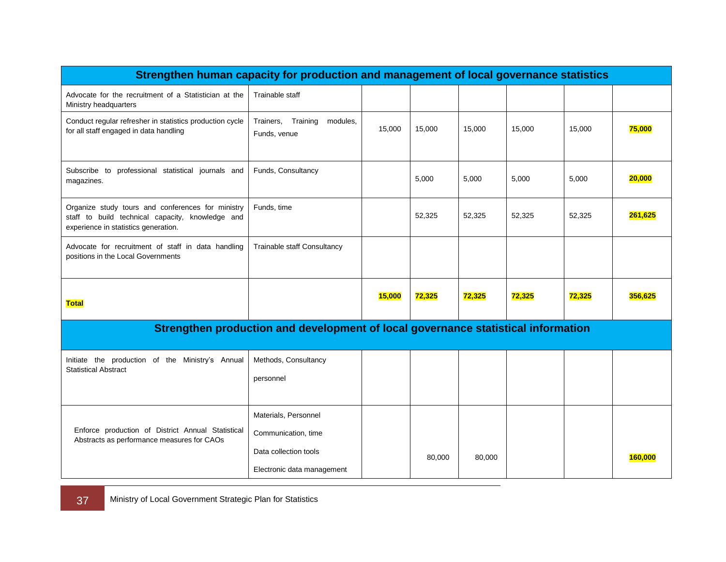| Strengthen human capacity for production and management of local governance statistics                                                        |                                                                                   |        |        |        |        |        |         |
|-----------------------------------------------------------------------------------------------------------------------------------------------|-----------------------------------------------------------------------------------|--------|--------|--------|--------|--------|---------|
| Advocate for the recruitment of a Statistician at the<br>Ministry headquarters                                                                | Trainable staff                                                                   |        |        |        |        |        |         |
| Conduct regular refresher in statistics production cycle<br>for all staff engaged in data handling                                            | Trainers, Training<br>modules,<br>Funds, venue                                    | 15,000 | 15,000 | 15,000 | 15,000 | 15,000 | 75,000  |
| Funds, Consultancy<br>Subscribe to professional statistical journals and<br>magazines.                                                        |                                                                                   |        | 5,000  | 5,000  | 5.000  | 5,000  | 20,000  |
| Organize study tours and conferences for ministry<br>staff to build technical capacity, knowledge and<br>experience in statistics generation. | Funds, time                                                                       |        | 52,325 | 52,325 | 52,325 | 52,325 | 261,625 |
| Advocate for recruitment of staff in data handling<br>positions in the Local Governments                                                      | Trainable staff Consultancy                                                       |        |        |        |        |        |         |
| <u>Total</u>                                                                                                                                  |                                                                                   | 15,000 | 72,325 | 72,325 | 72,325 | 72,325 | 356,625 |
|                                                                                                                                               | Strengthen production and development of local governance statistical information |        |        |        |        |        |         |
| Initiate the production of the Ministry's Annual<br><b>Statistical Abstract</b>                                                               | Methods, Consultancy<br>personnel                                                 |        |        |        |        |        |         |
|                                                                                                                                               | Materials, Personnel                                                              |        |        |        |        |        |         |
| Enforce production of District Annual Statistical<br>Abstracts as performance measures for CAOs                                               | Communication, time                                                               |        |        |        |        |        |         |
|                                                                                                                                               | Data collection tools                                                             |        | 80,000 | 80,000 |        |        | 160,000 |
|                                                                                                                                               | Electronic data management                                                        |        |        |        |        |        |         |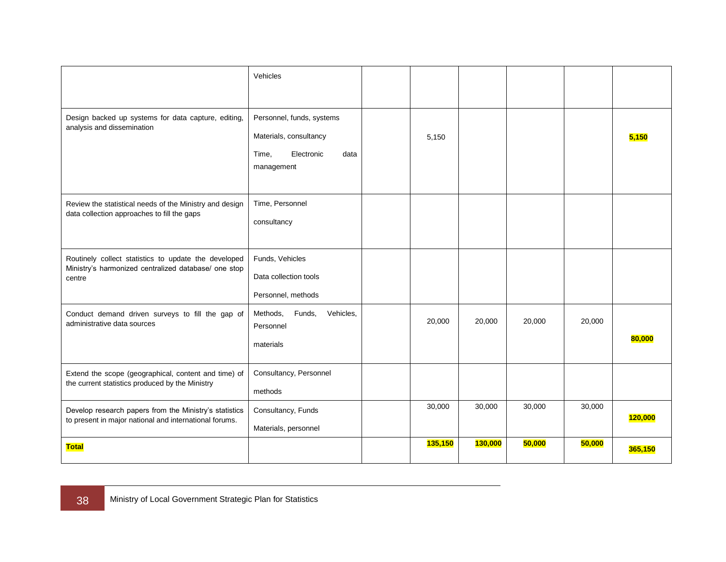|                                                                                                                        | Vehicles                                                                                         |         |         |        |        |                |
|------------------------------------------------------------------------------------------------------------------------|--------------------------------------------------------------------------------------------------|---------|---------|--------|--------|----------------|
| Design backed up systems for data capture, editing,<br>analysis and dissemination                                      | Personnel, funds, systems<br>Materials, consultancy<br>Electronic<br>Time,<br>data<br>management | 5,150   |         |        |        | 5,150          |
| Review the statistical needs of the Ministry and design<br>data collection approaches to fill the gaps                 | Time, Personnel<br>consultancy                                                                   |         |         |        |        |                |
| Routinely collect statistics to update the developed<br>Ministry's harmonized centralized database/ one stop<br>centre | Funds, Vehicles<br>Data collection tools<br>Personnel, methods                                   |         |         |        |        |                |
| Conduct demand driven surveys to fill the gap of<br>administrative data sources                                        | Methods,<br>Funds,<br>Vehicles.<br>Personnel<br>materials                                        | 20,000  | 20,000  | 20,000 | 20,000 | 80,000         |
| Extend the scope (geographical, content and time) of<br>the current statistics produced by the Ministry                | Consultancy, Personnel<br>methods                                                                |         |         |        |        |                |
| Develop research papers from the Ministry's statistics<br>to present in major national and international forums.       | Consultancy, Funds<br>Materials, personnel                                                       | 30,000  | 30,000  | 30,000 | 30,000 | <b>120,000</b> |
| <b>Total</b>                                                                                                           |                                                                                                  | 135,150 | 130,000 | 50,000 | 50,000 | 365,150        |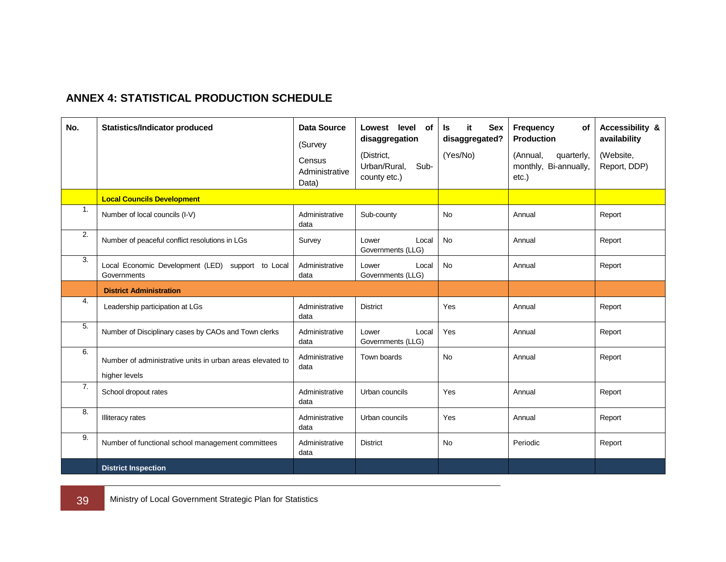### **ANNEX 4: STATISTICAL PRODUCTION SCHEDULE**

<span id="page-46-0"></span>

| No.            | <b>Statistics/Indicator produced</b>                                       | <b>Data Source</b><br>(Survey     | level<br>Lowest<br>of<br>disaggregation            | it.<br><b>Sex</b><br>ls.<br>disaggregated? | Frequency<br><b>of</b><br><b>Production</b>              | Accessibility &<br>availability |
|----------------|----------------------------------------------------------------------------|-----------------------------------|----------------------------------------------------|--------------------------------------------|----------------------------------------------------------|---------------------------------|
|                |                                                                            | Census<br>Administrative<br>Data) | (District,<br>Urban/Rural,<br>Sub-<br>county etc.) | (Yes/No)                                   | (Annual,<br>quarterly,<br>monthly, Bi-annually,<br>etc.) | (Website,<br>Report, DDP)       |
|                | <b>Local Councils Development</b>                                          |                                   |                                                    |                                            |                                                          |                                 |
| $\mathbf{1}$ . | Number of local councils (I-V)                                             | Administrative<br>data            | Sub-county                                         | <b>No</b>                                  | Annual                                                   | Report                          |
| 2.             | Number of peaceful conflict resolutions in LGs                             | Survey                            | Local<br>Lower<br>Governments (LLG)                | <b>No</b>                                  | Annual                                                   | Report                          |
| 3.             | Local Economic Development (LED) support to Local<br>Governments           | Administrative<br>data            | Lower<br>Local<br>Governments (LLG)                | <b>No</b>                                  | Annual                                                   | Report                          |
|                | <b>District Administration</b>                                             |                                   |                                                    |                                            |                                                          |                                 |
| 4.             | Leadership participation at LGs                                            | Administrative<br>data            | <b>District</b>                                    | Yes                                        | Annual                                                   | Report                          |
| 5.             | Number of Disciplinary cases by CAOs and Town clerks                       | Administrative<br>data            | Lower<br>Local<br>Governments (LLG)                | Yes                                        | Annual                                                   | Report                          |
| 6.             | Number of administrative units in urban areas elevated to<br>higher levels | Administrative<br>data            | Town boards                                        | No                                         | Annual                                                   | Report                          |
| 7.             | School dropout rates                                                       | Administrative<br>data            | Urban councils                                     | Yes                                        | Annual                                                   | Report                          |
| 8.             | <b>Illiteracy</b> rates                                                    | Administrative<br>data            | Urban councils                                     | Yes                                        | Annual                                                   | Report                          |
| 9.             | Number of functional school management committees                          | Administrative<br>data            | <b>District</b>                                    | <b>No</b>                                  | Periodic                                                 | Report                          |
|                | <b>District Inspection</b>                                                 |                                   |                                                    |                                            |                                                          |                                 |

39 Ministry of Local Government Strategic Plan for Statistics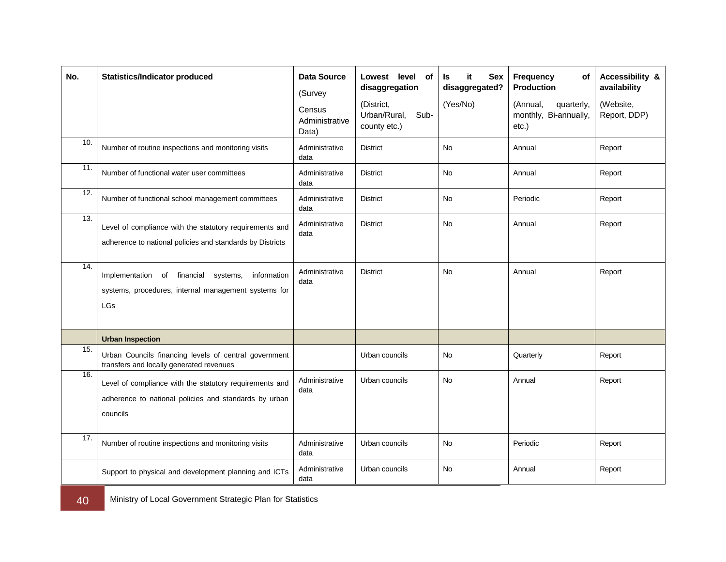| No.               | <b>Statistics/Indicator produced</b>                                                                                         | <b>Data Source</b><br>(Survey<br>Census<br>Administrative<br>Data) | Lowest level<br>of<br>disaggregation<br>(District,<br>Urban/Rural,<br>Sub-<br>county etc.) | it<br><b>Sex</b><br>ls.<br>disaggregated?<br>(Yes/No) | Frequency<br>of<br><b>Production</b><br>(Annual,<br>quarterly,<br>monthly, Bi-annually,<br>etc.) | Accessibility &<br>availability<br>(Website,<br>Report, DDP) |
|-------------------|------------------------------------------------------------------------------------------------------------------------------|--------------------------------------------------------------------|--------------------------------------------------------------------------------------------|-------------------------------------------------------|--------------------------------------------------------------------------------------------------|--------------------------------------------------------------|
| 10.               | Number of routine inspections and monitoring visits                                                                          | Administrative<br>data                                             | <b>District</b>                                                                            | No                                                    | Annual                                                                                           | Report                                                       |
| 11.               | Number of functional water user committees                                                                                   | Administrative<br>data                                             | <b>District</b>                                                                            | <b>No</b>                                             | Annual                                                                                           | Report                                                       |
| 12.               | Number of functional school management committees                                                                            | Administrative<br>data                                             | <b>District</b>                                                                            | <b>No</b>                                             | Periodic                                                                                         | Report                                                       |
| 13.               | Level of compliance with the statutory requirements and<br>adherence to national policies and standards by Districts         | Administrative<br>data                                             | <b>District</b>                                                                            | <b>No</b>                                             | Annual                                                                                           | Report                                                       |
| $\overline{14}$ . | Implementation of financial<br>systems,<br>information<br>systems, procedures, internal management systems for<br><b>LGs</b> | Administrative<br>data                                             | <b>District</b>                                                                            | <b>No</b>                                             | Annual                                                                                           | Report                                                       |
|                   | <b>Urban Inspection</b>                                                                                                      |                                                                    |                                                                                            |                                                       |                                                                                                  |                                                              |
| 15.               | Urban Councils financing levels of central government<br>transfers and locally generated revenues                            |                                                                    | Urban councils                                                                             | No                                                    | Quarterly                                                                                        | Report                                                       |
| 16.               | Level of compliance with the statutory requirements and<br>adherence to national policies and standards by urban<br>councils | Administrative<br>data                                             | Urban councils                                                                             | No                                                    | Annual                                                                                           | Report                                                       |
| 17.               | Number of routine inspections and monitoring visits                                                                          | Administrative<br>data                                             | Urban councils                                                                             | No                                                    | Periodic                                                                                         | Report                                                       |
|                   | Support to physical and development planning and ICTs                                                                        | Administrative<br>data                                             | Urban councils                                                                             | <b>No</b>                                             | Annual                                                                                           | Report                                                       |

40 Ministry of Local Government Strategic Plan for Statistics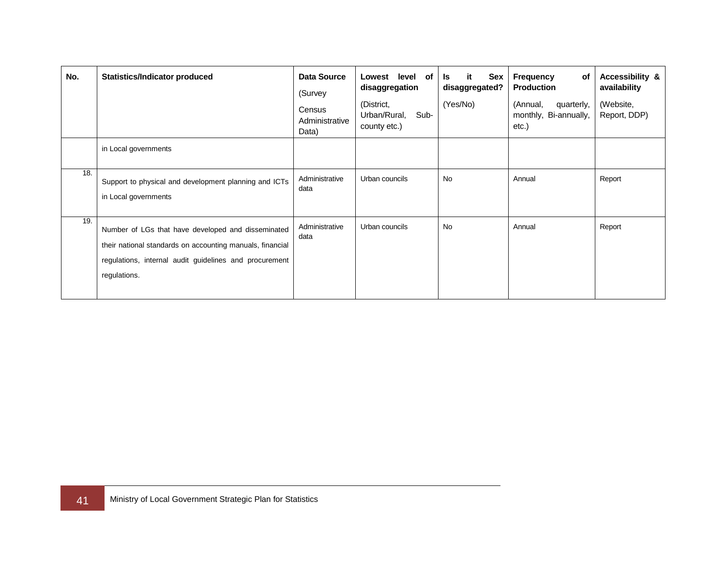| No. | Statistics/Indicator produced                                                                                                                                                             | <b>Data Source</b><br>(Survey<br>Census<br>Administrative<br>Data) | level of<br>Lowest<br>disaggregation<br>(District,<br>Urban/Rural,<br>Sub-<br>county etc.) | it<br>Sex<br>ls.<br>disaggregated?<br>(Yes/No) | Frequency<br>of<br><b>Production</b><br>(Annual,<br>quarterly,<br>monthly, Bi-annually,<br>etc.) | Accessibility &<br>availability<br>(Website,<br>Report, DDP) |
|-----|-------------------------------------------------------------------------------------------------------------------------------------------------------------------------------------------|--------------------------------------------------------------------|--------------------------------------------------------------------------------------------|------------------------------------------------|--------------------------------------------------------------------------------------------------|--------------------------------------------------------------|
|     | in Local governments                                                                                                                                                                      |                                                                    |                                                                                            |                                                |                                                                                                  |                                                              |
| 18. | Support to physical and development planning and ICTs<br>in Local governments                                                                                                             | Administrative<br>data                                             | Urban councils                                                                             | <b>No</b>                                      | Annual                                                                                           | Report                                                       |
| 19. | Number of LGs that have developed and disseminated<br>their national standards on accounting manuals, financial<br>regulations, internal audit guidelines and procurement<br>regulations. | Administrative<br>data                                             | Urban councils                                                                             | <b>No</b>                                      | Annual                                                                                           | Report                                                       |